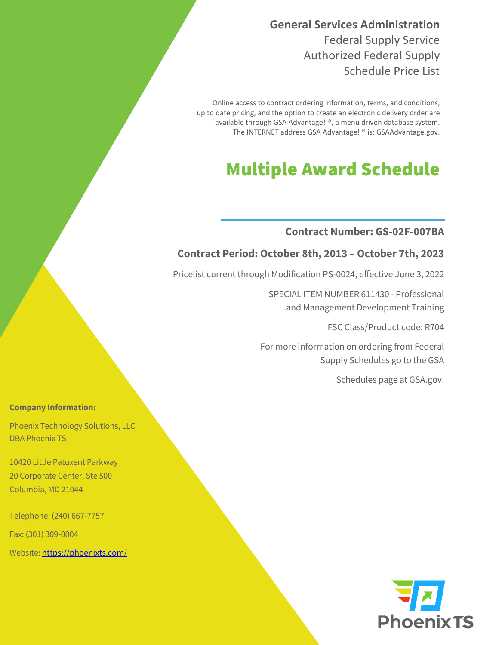**General Services Administration**  Federal Supply Service Authorized Federal Supply Schedule Price List

Online access to contract ordering information, terms, and conditions, up to date pricing, and the option to create an electronic delivery order are available through GSA Advantage! ®, a menu driven database system. The INTERNET address GSA Advantage! ® is: GSAAdvantage.gov.

# Multiple Award Schedule

#### **Contract Number: GS-02F-007BA**

#### **Contract Period: October 8th, 2013 – October 7th, 2023**

Pricelist current through Modification PS-0024, effective June 3, 2022

SPECIAL ITEM NUMBER 611430 - Professional and Management Development Training

FSC Class/Product code: R704

For more information on ordering from Federal Supply Schedules go to the GSA

Schedules page at GSA.gov.

#### **Company Information:**

Phoenix Technology Solutions, LLC DBA Phoenix TS

10420 Little Patuxent Parkway 20 Corporate Center, Ste 500 Columbia, MD 21044

Telephone: (240) 667-7757

Fax: (301) 309-0004

Website[: https://phoenixts.com/](https://phoenixts.com/) 

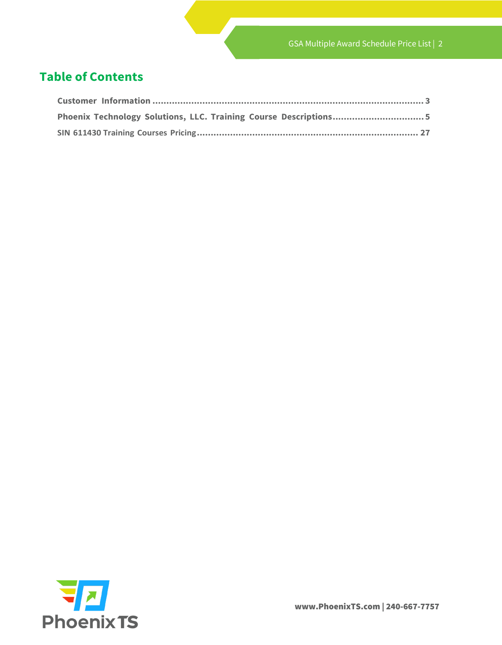### **Table of Contents**

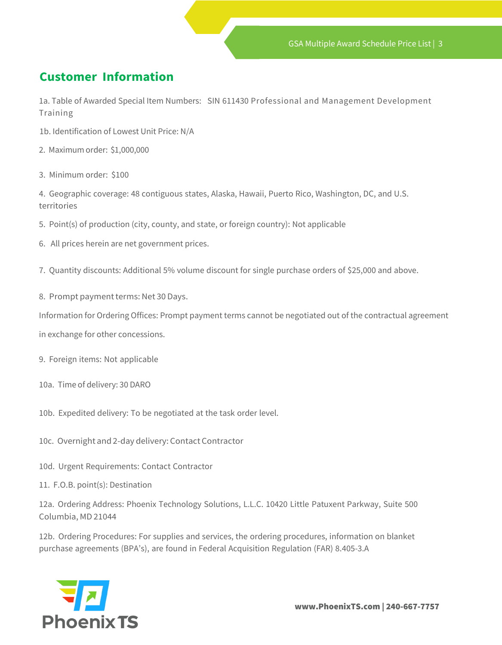## <span id="page-2-0"></span>**Customer Information**

1a. Table of Awarded Special Item Numbers: SIN 611430 Professional and Management Development Training

- 1b. Identification of Lowest Unit Price: N/A
- 2. Maximum order: \$1,000,000
- 3. Minimum order: \$100

4. Geographic coverage: 48 contiguous states, Alaska, Hawaii, Puerto Rico, Washington, DC, and U.S. territories

- 5. Point(s) of production (city, county, and state, or foreign country): Not applicable
- 6. All prices herein are net government prices.
- 7. Quantity discounts: Additional 5% volume discount for single purchase orders of \$25,000 and above.
- 8. Prompt payment terms: Net 30 Days.

Information for Ordering Offices: Prompt payment terms cannot be negotiated out of the contractual agreement

in exchange for other concessions.

- 9. Foreign items: Not applicable
- 10a. Time of delivery: 30 DARO
- 10b. Expedited delivery: To be negotiated at the task order level.
- 10c. Overnight and 2-day delivery: Contact Contractor
- 10d. Urgent Requirements: Contact Contractor
- 11. F.O.B. point(s): Destination

12a. Ordering Address: Phoenix Technology Solutions, L.L.C. 10420 Little Patuxent Parkway, Suite 500 Columbia, MD 21044

12b. Ordering Procedures: For supplies and services, the ordering procedures, information on blanket purchase agreements (BPA's), are found in Federal Acquisition Regulation (FAR) 8.405-3.A



www.PhoenixTS.com | 240-667-7757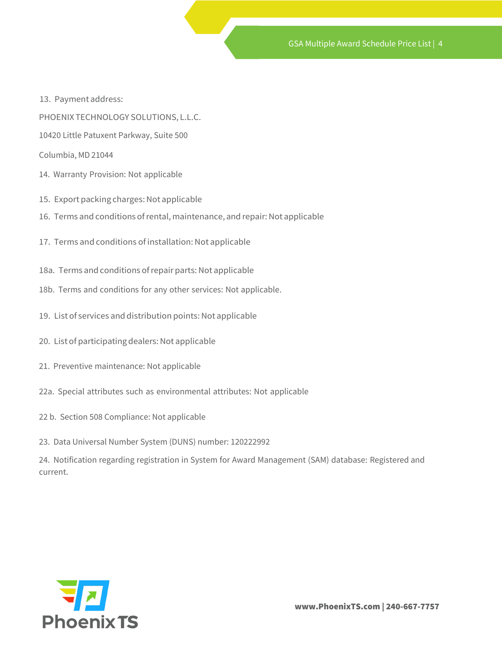- 13. Payment address:
- PHOENIX TECHNOLOGY SOLUTIONS, L.L.C.
- 10420 Little Patuxent Parkway, Suite 500
- Columbia, MD 21044
- 14. Warranty Provision: Not applicable
- 15. Export packing charges: Not applicable
- 16. Terms and conditions of rental, maintenance, and repair: Not applicable
- 17. Terms and conditions of installation: Not applicable
- 18a. Terms and conditions of repair parts: Not applicable
- 18b. Terms and conditions for any other services: Not applicable.
- 19. List of services and distribution points: Not applicable
- 20. List of participating dealers: Not applicable
- 21. Preventive maintenance: Not applicable
- 22a. Special attributes such as environmental attributes: Not applicable
- 22 b. Section 508 Compliance: Not applicable
- 23. Data Universal Number System (DUNS) number: 120222992

24. Notification regarding registration in System for Award Management (SAM) database: Registered and current.

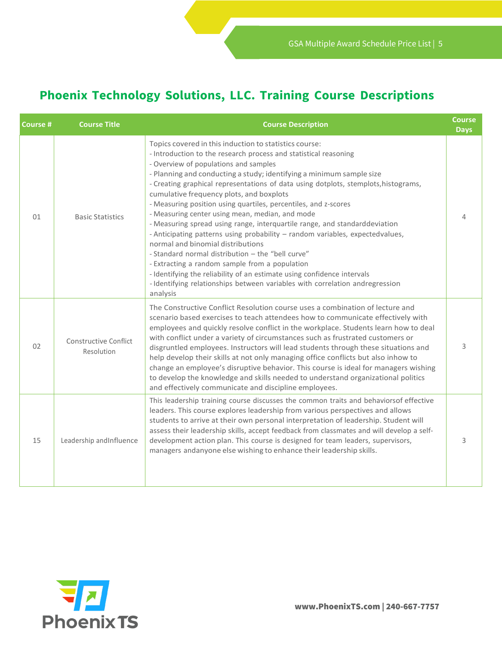# **Phoenix Technology Solutions, LLC. Training Course Descriptions**

<span id="page-4-0"></span>

| Course # | <b>Course Title</b>                 | <b>Course Description</b>                                                                                                                                                                                                                                                                                                                                                                                                                                                                                                                                                                                                                                                                                                                                                                                                                                                                                                                                                             | <b>Course</b><br><b>Days</b> |
|----------|-------------------------------------|---------------------------------------------------------------------------------------------------------------------------------------------------------------------------------------------------------------------------------------------------------------------------------------------------------------------------------------------------------------------------------------------------------------------------------------------------------------------------------------------------------------------------------------------------------------------------------------------------------------------------------------------------------------------------------------------------------------------------------------------------------------------------------------------------------------------------------------------------------------------------------------------------------------------------------------------------------------------------------------|------------------------------|
| 01       | <b>Basic Statistics</b>             | Topics covered in this induction to statistics course:<br>- Introduction to the research process and statistical reasoning<br>- Overview of populations and samples<br>- Planning and conducting a study; identifying a minimum sample size<br>- Creating graphical representations of data using dotplots, stemplots, histograms,<br>cumulative frequency plots, and boxplots<br>- Measuring position using quartiles, percentiles, and z-scores<br>- Measuring center using mean, median, and mode<br>- Measuring spread using range, interquartile range, and standarddeviation<br>- Anticipating patterns using probability - random variables, expectedvalues,<br>normal and binomial distributions<br>- Standard normal distribution - the "bell curve"<br>- Extracting a random sample from a population<br>- Identifying the reliability of an estimate using confidence intervals<br>-Identifying relationships between variables with correlation andregression<br>analysis |                              |
| 02       | Constructive Conflict<br>Resolution | The Constructive Conflict Resolution course uses a combination of lecture and<br>scenario based exercises to teach attendees how to communicate effectively with<br>employees and quickly resolve conflict in the workplace. Students learn how to deal<br>with conflict under a variety of circumstances such as frustrated customers or<br>disgruntled employees. Instructors will lead students through these situations and<br>help develop their skills at not only managing office conflicts but also inhow to<br>change an employee's disruptive behavior. This course is ideal for managers wishing<br>to develop the knowledge and skills needed to understand organizational politics<br>and effectively communicate and discipline employees.                                                                                                                                                                                                                              | 3                            |
| 15       | Leadership andInfluence             | This leadership training course discusses the common traits and behaviorsof effective<br>leaders. This course explores leadership from various perspectives and allows<br>students to arrive at their own personal interpretation of leadership. Student will<br>assess their leadership skills, accept feedback from classmates and will develop a self-<br>development action plan. This course is designed for team leaders, supervisors,<br>managers andanyone else wishing to enhance their leadership skills.                                                                                                                                                                                                                                                                                                                                                                                                                                                                   | 3                            |

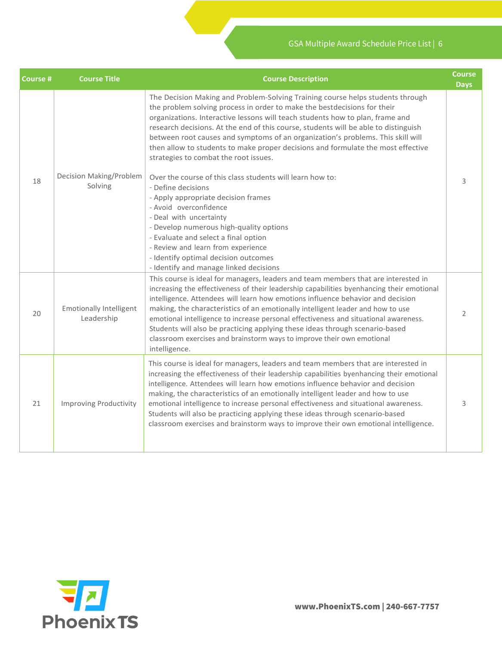| <b>Course #</b> | <b>Course Title</b>                          | <b>Course Description</b>                                                                                                                                                                                                                                                                                                                                                                                                                                                                                                                                                                                                                                                                                                                                                                                                                                                                                                                    | <b>Course</b><br><b>Days</b> |
|-----------------|----------------------------------------------|----------------------------------------------------------------------------------------------------------------------------------------------------------------------------------------------------------------------------------------------------------------------------------------------------------------------------------------------------------------------------------------------------------------------------------------------------------------------------------------------------------------------------------------------------------------------------------------------------------------------------------------------------------------------------------------------------------------------------------------------------------------------------------------------------------------------------------------------------------------------------------------------------------------------------------------------|------------------------------|
| 18              | Decision Making/Problem<br>Solving           | The Decision Making and Problem-Solving Training course helps students through<br>the problem solving process in order to make the bestdecisions for their<br>organizations. Interactive lessons will teach students how to plan, frame and<br>research decisions. At the end of this course, students will be able to distinguish<br>between root causes and symptoms of an organization's problems. This skill will<br>then allow to students to make proper decisions and formulate the most effective<br>strategies to combat the root issues.<br>Over the course of this class students will learn how to:<br>- Define decisions<br>- Apply appropriate decision frames<br>- Avoid overconfidence<br>- Deal with uncertainty<br>- Develop numerous high-quality options<br>- Evaluate and select a final option<br>- Review and learn from experience<br>- Identify optimal decision outcomes<br>- Identify and manage linked decisions | 3                            |
| 20              | <b>Emotionally Intelligent</b><br>Leadership | This course is ideal for managers, leaders and team members that are interested in<br>increasing the effectiveness of their leadership capabilities byenhancing their emotional<br>intelligence. Attendees will learn how emotions influence behavior and decision<br>making, the characteristics of an emotionally intelligent leader and how to use<br>emotional intelligence to increase personal effectiveness and situational awareness.<br>Students will also be practicing applying these ideas through scenario-based<br>classroom exercises and brainstorm ways to improve their own emotional<br>intelligence.                                                                                                                                                                                                                                                                                                                     | 2                            |
| 21              | <b>Improving Productivity</b>                | This course is ideal for managers, leaders and team members that are interested in<br>increasing the effectiveness of their leadership capabilities byenhancing their emotional<br>intelligence. Attendees will learn how emotions influence behavior and decision<br>making, the characteristics of an emotionally intelligent leader and how to use<br>emotional intelligence to increase personal effectiveness and situational awareness.<br>Students will also be practicing applying these ideas through scenario-based<br>classroom exercises and brainstorm ways to improve their own emotional intelligence.                                                                                                                                                                                                                                                                                                                        | 3                            |

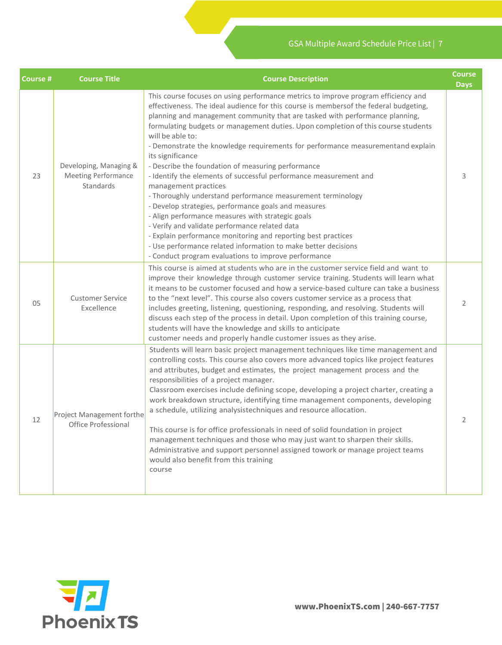| <b>Course #</b> | <b>Course Title</b>                                               | <b>Course Description</b>                                                                                                                                                                                                                                                                                                                                                                                                                                                                                                                                                                                                                                                                                                                                                                                                                                                                                                                                                                                                                               | <b>Course</b><br><b>Days</b> |
|-----------------|-------------------------------------------------------------------|---------------------------------------------------------------------------------------------------------------------------------------------------------------------------------------------------------------------------------------------------------------------------------------------------------------------------------------------------------------------------------------------------------------------------------------------------------------------------------------------------------------------------------------------------------------------------------------------------------------------------------------------------------------------------------------------------------------------------------------------------------------------------------------------------------------------------------------------------------------------------------------------------------------------------------------------------------------------------------------------------------------------------------------------------------|------------------------------|
| 23              | Developing, Managing &<br><b>Meeting Performance</b><br>Standards | This course focuses on using performance metrics to improve program efficiency and<br>effectiveness. The ideal audience for this course is membersof the federal budgeting,<br>planning and management community that are tasked with performance planning,<br>formulating budgets or management duties. Upon completion of this course students<br>will be able to:<br>- Demonstrate the knowledge requirements for performance measurementand explain<br>its significance<br>- Describe the foundation of measuring performance<br>- Identify the elements of successful performance measurement and<br>management practices<br>- Thoroughly understand performance measurement terminology<br>- Develop strategies, performance goals and measures<br>- Align performance measures with strategic goals<br>- Verify and validate performance related data<br>- Explain performance monitoring and reporting best practices<br>- Use performance related information to make better decisions<br>- Conduct program evaluations to improve performance | 3                            |
| 05              | <b>Customer Service</b><br>Excellence                             | This course is aimed at students who are in the customer service field and want to<br>improve their knowledge through customer service training. Students will learn what<br>it means to be customer focused and how a service-based culture can take a business<br>to the "next level". This course also covers customer service as a process that<br>includes greeting, listening, questioning, responding, and resolving. Students will<br>discuss each step of the process in detail. Upon completion of this training course,<br>students will have the knowledge and skills to anticipate<br>customer needs and properly handle customer issues as they arise.                                                                                                                                                                                                                                                                                                                                                                                    | 2                            |
| 12              | Project Management forthe<br>Office Professional                  | Students will learn basic project management techniques like time management and<br>controlling costs. This course also covers more advanced topics like project features<br>and attributes, budget and estimates, the project management process and the<br>responsibilities of a project manager.<br>Classroom exercises include defining scope, developing a project charter, creating a<br>work breakdown structure, identifying time management components, developing<br>a schedule, utilizing analysistechniques and resource allocation.<br>This course is for office professionals in need of solid foundation in project<br>management techniques and those who may just want to sharpen their skills.<br>Administrative and support personnel assigned towork or manage project teams<br>would also benefit from this training<br>course                                                                                                                                                                                                     | 2                            |

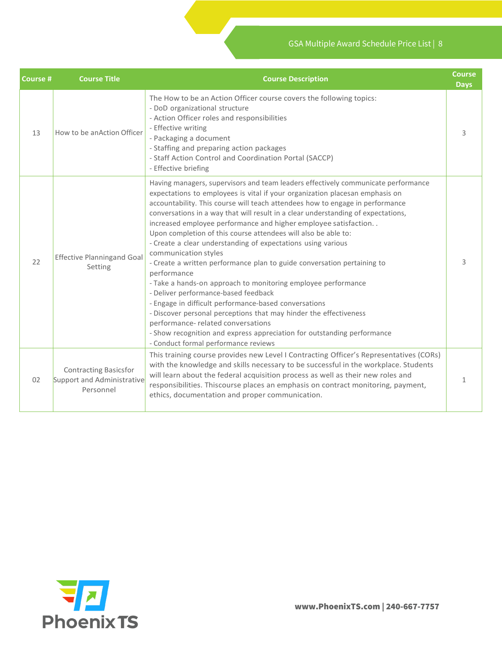| <b>Course #</b> | <b>Course Title</b>                                                     | <b>Course Description</b>                                                                                                                                                                                                                                                                                                                                                                                                                                                                                                                                                                                                                                                                                                                                                                                                                                                                                                                                                                                                                                      | <b>Course</b><br><b>Days</b> |
|-----------------|-------------------------------------------------------------------------|----------------------------------------------------------------------------------------------------------------------------------------------------------------------------------------------------------------------------------------------------------------------------------------------------------------------------------------------------------------------------------------------------------------------------------------------------------------------------------------------------------------------------------------------------------------------------------------------------------------------------------------------------------------------------------------------------------------------------------------------------------------------------------------------------------------------------------------------------------------------------------------------------------------------------------------------------------------------------------------------------------------------------------------------------------------|------------------------------|
| 13              | How to be an Action Officer                                             | The How to be an Action Officer course covers the following topics:<br>- DoD organizational structure<br>- Action Officer roles and responsibilities<br>- Effective writing<br>- Packaging a document<br>- Staffing and preparing action packages<br>- Staff Action Control and Coordination Portal (SACCP)<br>- Effective briefing                                                                                                                                                                                                                                                                                                                                                                                                                                                                                                                                                                                                                                                                                                                            | 3                            |
| 22              | <b>Effective Planningand Goal</b><br>Setting                            | Having managers, supervisors and team leaders effectively communicate performance<br>expectations to employees is vital if your organization placesan emphasis on<br>accountability. This course will teach attendees how to engage in performance<br>conversations in a way that will result in a clear understanding of expectations,<br>increased employee performance and higher employee satisfaction<br>Upon completion of this course attendees will also be able to:<br>- Create a clear understanding of expectations using various<br>communication styles<br>- Create a written performance plan to guide conversation pertaining to<br>performance<br>- Take a hands-on approach to monitoring employee performance<br>- Deliver performance-based feedback<br>- Engage in difficult performance-based conversations<br>- Discover personal perceptions that may hinder the effectiveness<br>performance- related conversations<br>- Show recognition and express appreciation for outstanding performance<br>- Conduct formal performance reviews | 3                            |
| 02              | <b>Contracting Basicsfor</b><br>Support and Administrative<br>Personnel | This training course provides new Level I Contracting Officer's Representatives (CORs)<br>with the knowledge and skills necessary to be successful in the workplace. Students<br>will learn about the federal acquisition process as well as their new roles and<br>responsibilities. Thiscourse places an emphasis on contract monitoring, payment,<br>ethics, documentation and proper communication.                                                                                                                                                                                                                                                                                                                                                                                                                                                                                                                                                                                                                                                        | 1                            |

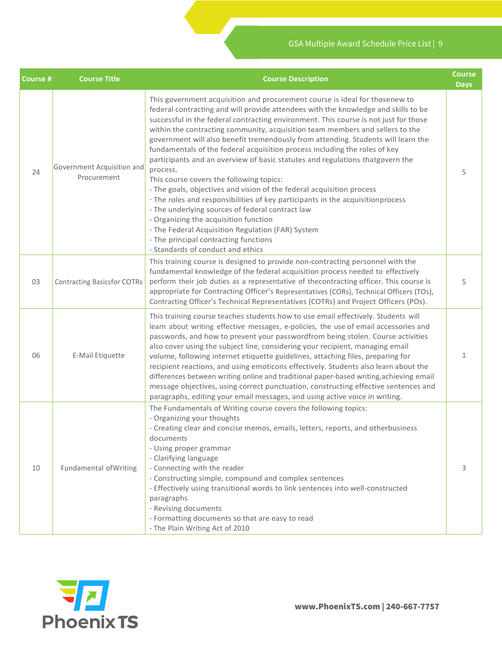| <b>Course #</b> | <b>Course Title</b>                       | <b>Course Description</b>                                                                                                                                                                                                                                                                                                                                                                                                                                                                                                                                                                                                                                                                                                                                                                                                                                                                                                                                                                                                                         | <b>Course</b><br><b>Days</b> |
|-----------------|-------------------------------------------|---------------------------------------------------------------------------------------------------------------------------------------------------------------------------------------------------------------------------------------------------------------------------------------------------------------------------------------------------------------------------------------------------------------------------------------------------------------------------------------------------------------------------------------------------------------------------------------------------------------------------------------------------------------------------------------------------------------------------------------------------------------------------------------------------------------------------------------------------------------------------------------------------------------------------------------------------------------------------------------------------------------------------------------------------|------------------------------|
| 24              | Government Acquisition and<br>Procurement | This government acquisition and procurement course is ideal for thosenew to<br>federal contracting and will provide attendees with the knowledge and skills to be<br>successful in the federal contracting environment. This course is not just for those<br>within the contracting community, acquisition team members and sellers to the<br>government will also benefit tremendously from attending. Students will learn the<br>fundamentals of the federal acquisition process including the roles of key<br>participants and an overview of basic statutes and regulations thatgovern the<br>process.<br>This course covers the following topics:<br>- The goals, objectives and vision of the federal acquisition process<br>- The roles and responsibilities of key participants in the acquisitionprocess<br>- The underlying sources of federal contract law<br>- Organizing the acquisition function<br>- The Federal Acquisition Regulation (FAR) System<br>- The principal contracting functions<br>- Standards of conduct and ethics | 5                            |
| 03              | <b>Contracting Basicsfor COTRs</b>        | This training course is designed to provide non-contracting personnel with the<br>fundamental knowledge of the federal acquisition process needed to effectively<br>perform their job duties as a representative of the contracting officer. This course is<br>appropriate for Contracting Officer's Representatives (CORs), Technical Officers (TOs),<br>Contracting Officer's Technical Representatives (COTRs) and Project Officers (POs).                                                                                                                                                                                                                                                                                                                                                                                                                                                                                                                                                                                                     | 5                            |
| 06              | E-Mail Etiquette                          | This training course teaches students how to use email effectively. Students will<br>learn about writing effective messages, e-policies, the use of email accessories and<br>passwords, and how to prevent your passwordfrom being stolen. Course activities<br>also cover using the subject line, considering your recipient, managing email<br>volume, following internet etiquette guidelines, attaching files, preparing for<br>recipient reactions, and using emoticons effectively. Students also learn about the<br>differences between writing online and traditional paper-based writing, achieving email<br>message objectives, using correct punctuation, constructing effective sentences and<br>paragraphs, editing your email messages, and using active voice in writing.                                                                                                                                                                                                                                                          | 1                            |
| 10              | <b>Fundamental of Writing</b>             | The Fundamentals of Writing course covers the following topics:<br>- Organizing your thoughts<br>- Creating clear and concise memos, emails, letters, reports, and otherbusiness<br>documents<br>- Using proper grammar<br>- Clarifying language<br>- Connecting with the reader<br>- Constructing simple, compound and complex sentences<br>- Effectively using transitional words to link sentences into well-constructed<br>paragraphs<br>- Revising documents<br>- Formatting documents so that are easy to read<br>- The Plain Writing Act of 2010                                                                                                                                                                                                                                                                                                                                                                                                                                                                                           | 3                            |

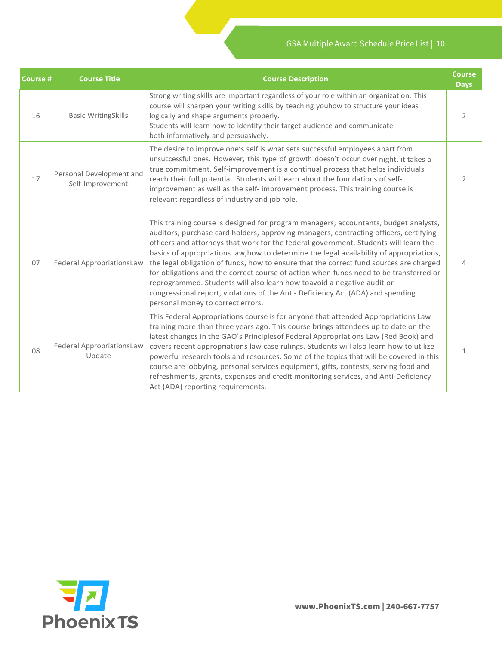| <b>Course #</b> | <b>Course Title</b>                          | <b>Course Description</b>                                                                                                                                                                                                                                                                                                                                                                                                                                                                                                                                                                                                                                                                                                                              | <b>Course</b><br><b>Days</b> |
|-----------------|----------------------------------------------|--------------------------------------------------------------------------------------------------------------------------------------------------------------------------------------------------------------------------------------------------------------------------------------------------------------------------------------------------------------------------------------------------------------------------------------------------------------------------------------------------------------------------------------------------------------------------------------------------------------------------------------------------------------------------------------------------------------------------------------------------------|------------------------------|
| 16              | <b>Basic WritingSkills</b>                   | Strong writing skills are important regardless of your role within an organization. This<br>course will sharpen your writing skills by teaching youhow to structure your ideas<br>logically and shape arguments properly.<br>Students will learn how to identify their target audience and communicate<br>both informatively and persuasively.                                                                                                                                                                                                                                                                                                                                                                                                         | 2                            |
| 17              | Personal Development and<br>Self Improvement | The desire to improve one's self is what sets successful employees apart from<br>unsuccessful ones. However, this type of growth doesn't occur over night, it takes a<br>true commitment. Self-improvement is a continual process that helps individuals<br>reach their full potential. Students will learn about the foundations of self-<br>improvement as well as the self- improvement process. This training course is<br>relevant regardless of industry and job role.                                                                                                                                                                                                                                                                           | $\mathcal{P}$                |
| 07              | Federal AppropriationsLaw                    | This training course is designed for program managers, accountants, budget analysts,<br>auditors, purchase card holders, approving managers, contracting officers, certifying<br>officers and attorneys that work for the federal government. Students will learn the<br>basics of appropriations law, how to determine the legal availability of appropriations,<br>the legal obligation of funds, how to ensure that the correct fund sources are charged<br>for obligations and the correct course of action when funds need to be transferred or<br>reprogrammed. Students will also learn how toavoid a negative audit or<br>congressional report, violations of the Anti- Deficiency Act (ADA) and spending<br>personal money to correct errors. |                              |
| 08              | Federal AppropriationsLaw<br>Update          | This Federal Appropriations course is for anyone that attended Appropriations Law<br>training more than three years ago. This course brings attendees up to date on the<br>latest changes in the GAO's Principlesof Federal Appropriations Law (Red Book) and<br>covers recent appropriations law case rulings. Students will also learn how to utilize<br>powerful research tools and resources. Some of the topics that will be covered in this<br>course are lobbying, personal services equipment, gifts, contests, serving food and<br>refreshments, grants, expenses and credit monitoring services, and Anti-Deficiency<br>Act (ADA) reporting requirements.                                                                                    | 1                            |

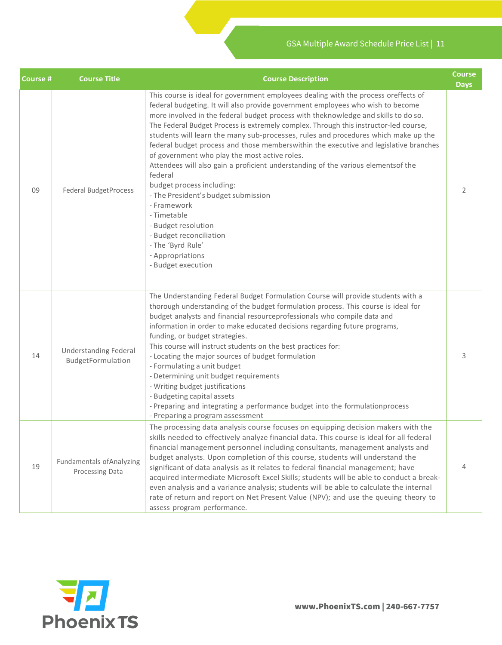| <b>Course #</b> | <b>Course Title</b>                                 | <b>Course Description</b>                                                                                                                                                                                                                                                                                                                                                                                                                                                                                                                                                                                                                                                                                                                                                                                                                                                                               | Course<br><b>Days</b> |
|-----------------|-----------------------------------------------------|---------------------------------------------------------------------------------------------------------------------------------------------------------------------------------------------------------------------------------------------------------------------------------------------------------------------------------------------------------------------------------------------------------------------------------------------------------------------------------------------------------------------------------------------------------------------------------------------------------------------------------------------------------------------------------------------------------------------------------------------------------------------------------------------------------------------------------------------------------------------------------------------------------|-----------------------|
| 09              | <b>Federal BudgetProcess</b>                        | This course is ideal for government employees dealing with the process oreffects of<br>federal budgeting. It will also provide government employees who wish to become<br>more involved in the federal budget process with theknowledge and skills to do so.<br>The Federal Budget Process is extremely complex. Through this instructor-led course,<br>students will learn the many sub-processes, rules and procedures which make up the<br>federal budget process and those memberswithin the executive and legislative branches<br>of government who play the most active roles.<br>Attendees will also gain a proficient understanding of the various elementsof the<br>federal<br>budget process including:<br>- The President's budget submission<br>- Framework<br>- Timetable<br>- Budget resolution<br>- Budget reconciliation<br>- The 'Byrd Rule'<br>- Appropriations<br>- Budget execution | 2                     |
| 14              | <b>Understanding Federal</b><br>BudgetFormulation   | The Understanding Federal Budget Formulation Course will provide students with a<br>thorough understanding of the budget formulation process. This course is ideal for<br>budget analysts and financial resourceprofessionals who compile data and<br>information in order to make educated decisions regarding future programs,<br>funding, or budget strategies.<br>This course will instruct students on the best practices for:<br>- Locating the major sources of budget formulation<br>- Formulating a unit budget<br>- Determining unit budget requirements<br>- Writing budget justifications<br>- Budgeting capital assets<br>- Preparing and integrating a performance budget into the formulationprocess<br>- Preparing a program assessment                                                                                                                                                 | 3                     |
| 19              | <b>Fundamentals of Analyzing</b><br>Processing Data | The processing data analysis course focuses on equipping decision makers with the<br>skills needed to effectively analyze financial data. This course is ideal for all federal<br>financial management personnel including consultants, management analysts and<br>budget analysts. Upon completion of this course, students will understand the<br>significant of data analysis as it relates to federal financial management; have<br>acquired intermediate Microsoft Excel Skills; students will be able to conduct a break-<br>even analysis and a variance analysis; students will be able to calculate the internal<br>rate of return and report on Net Present Value (NPV); and use the queuing theory to<br>assess program performance.                                                                                                                                                         | 4                     |

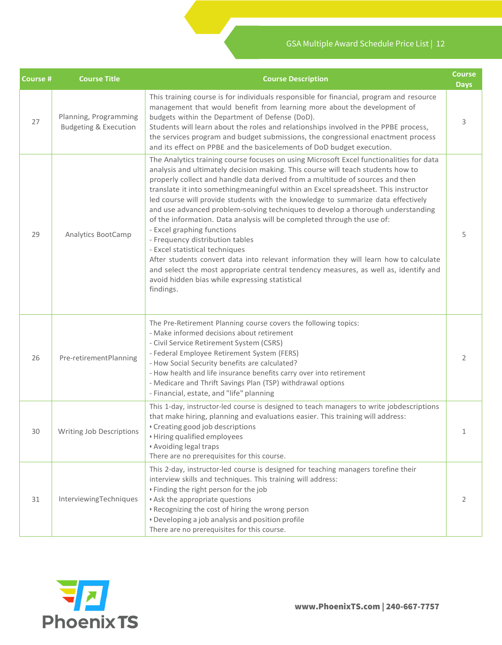| <b>Course #</b> | <b>Course Title</b>                                       | <b>Course Description</b>                                                                                                                                                                                                                                                                                                                                                                                                                                                                                                                                                                                                                                                                                                                                                                                                                                                                                                                                | <b>Course</b><br><b>Days</b> |
|-----------------|-----------------------------------------------------------|----------------------------------------------------------------------------------------------------------------------------------------------------------------------------------------------------------------------------------------------------------------------------------------------------------------------------------------------------------------------------------------------------------------------------------------------------------------------------------------------------------------------------------------------------------------------------------------------------------------------------------------------------------------------------------------------------------------------------------------------------------------------------------------------------------------------------------------------------------------------------------------------------------------------------------------------------------|------------------------------|
| 27              | Planning, Programming<br><b>Budgeting &amp; Execution</b> | This training course is for individuals responsible for financial, program and resource<br>management that would benefit from learning more about the development of<br>budgets within the Department of Defense (DoD).<br>Students will learn about the roles and relationships involved in the PPBE process,<br>the services program and budget submissions, the congressional enactment process<br>and its effect on PPBE and the basicelements of DoD budget execution.                                                                                                                                                                                                                                                                                                                                                                                                                                                                              | 3                            |
| 29              | Analytics BootCamp                                        | The Analytics training course focuses on using Microsoft Excel functionalities for data<br>analysis and ultimately decision making. This course will teach students how to<br>properly collect and handle data derived from a multitude of sources and then<br>translate it into something meaningful within an Excel spreadsheet. This instructor<br>led course will provide students with the knowledge to summarize data effectively<br>and use advanced problem-solving techniques to develop a thorough understanding<br>of the information. Data analysis will be completed through the use of:<br>- Excel graphing functions<br>- Frequency distribution tables<br>- Excel statistical techniques<br>After students convert data into relevant information they will learn how to calculate<br>and select the most appropriate central tendency measures, as well as, identify and<br>avoid hidden bias while expressing statistical<br>findings. | 5                            |
| 26              | Pre-retirementPlanning                                    | The Pre-Retirement Planning course covers the following topics:<br>- Make informed decisions about retirement<br>- Civil Service Retirement System (CSRS)<br>- Federal Employee Retirement System (FERS)<br>- How Social Security benefits are calculated?<br>- How health and life insurance benefits carry over into retirement<br>- Medicare and Thrift Savings Plan (TSP) withdrawal options<br>- Financial, estate, and "life" planning                                                                                                                                                                                                                                                                                                                                                                                                                                                                                                             | 2                            |
| 30              | Writing Job Descriptions                                  | This 1-day, instructor-led course is designed to teach managers to write jobdescriptions<br>that make hiring, planning and evaluations easier. This training will address:<br>• Creating good job descriptions<br>• Hiring qualified employees<br>• Avoiding legal traps<br>There are no prerequisites for this course.                                                                                                                                                                                                                                                                                                                                                                                                                                                                                                                                                                                                                                  | 1                            |
| 31              | InterviewingTechniques                                    | This 2-day, instructor-led course is designed for teaching managers torefine their<br>interview skills and techniques. This training will address:<br>• Finding the right person for the job<br>• Ask the appropriate questions<br>. Recognizing the cost of hiring the wrong person<br>• Developing a job analysis and position profile<br>There are no prerequisites for this course.                                                                                                                                                                                                                                                                                                                                                                                                                                                                                                                                                                  | 2                            |

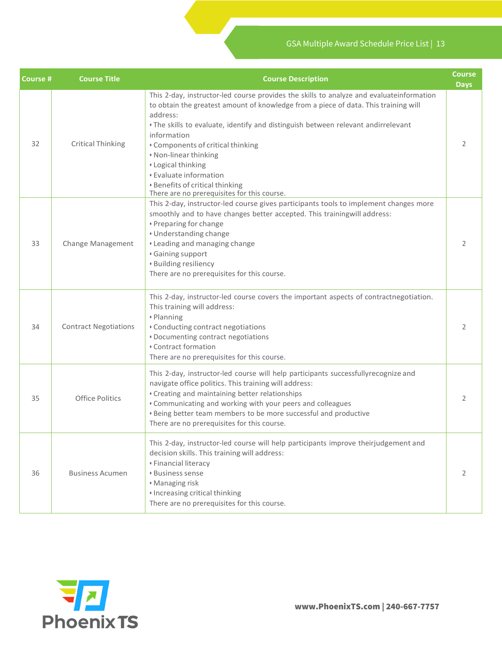| Course # | <b>Course Title</b>          | <b>Course Description</b>                                                                                                                                                                                                                                                                                                                                                                                                                                                                       | <b>Course</b><br><b>Days</b> |
|----------|------------------------------|-------------------------------------------------------------------------------------------------------------------------------------------------------------------------------------------------------------------------------------------------------------------------------------------------------------------------------------------------------------------------------------------------------------------------------------------------------------------------------------------------|------------------------------|
| 32       | <b>Critical Thinking</b>     | This 2-day, instructor-led course provides the skills to analyze and evaluateinformation<br>to obtain the greatest amount of knowledge from a piece of data. This training will<br>address:<br>. The skills to evaluate, identify and distinguish between relevant andirrelevant<br>information<br>• Components of critical thinking<br>• Non-linear thinking<br>• Logical thinking<br>• Evaluate information<br>• Benefits of critical thinking<br>There are no prerequisites for this course. | 2                            |
| 33       | Change Management            | This 2-day, instructor-led course gives participants tools to implement changes more<br>smoothly and to have changes better accepted. This trainingwill address:<br>• Preparing for change<br>• Understanding change<br>• Leading and managing change<br>· Gaining support<br>· Building resiliency<br>There are no prerequisites for this course.                                                                                                                                              | 2                            |
| 34       | <b>Contract Negotiations</b> | This 2-day, instructor-led course covers the important aspects of contractnegotiation.<br>This training will address:<br>• Planning<br>• Conducting contract negotiations<br>• Documenting contract negotiations<br>• Contract formation<br>There are no prerequisites for this course.                                                                                                                                                                                                         | 2                            |
| 35       | <b>Office Politics</b>       | This 2-day, instructor-led course will help participants successfullyrecognize and<br>navigate office politics. This training will address:<br>• Creating and maintaining better relationships<br>• Communicating and working with your peers and colleagues<br>. Being better team members to be more successful and productive<br>There are no prerequisites for this course.                                                                                                                 | 2                            |
| 36       | <b>Business Acumen</b>       | This 2-day, instructor-led course will help participants improve theirjudgement and<br>decision skills. This training will address:<br>• Financial literacy<br><b>· Business sense</b><br>· Managing risk<br>· Increasing critical thinking<br>There are no prerequisites for this course.                                                                                                                                                                                                      | 2                            |

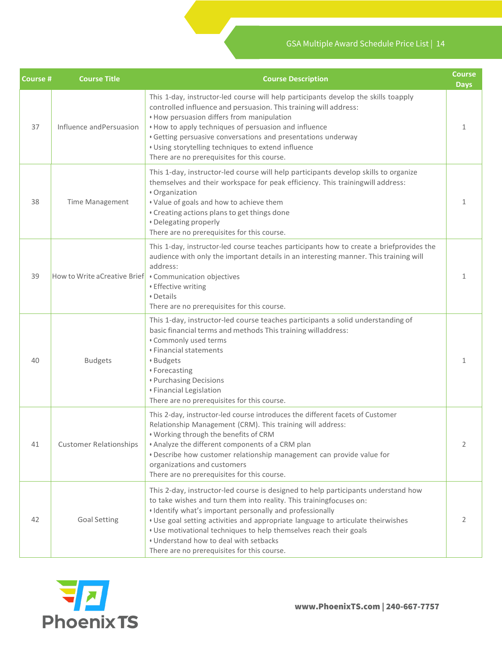| <b>Course #</b> | <b>Course Title</b>           | <b>Course Description</b>                                                                                                                                                                                                                                                                                                                                                                                                                                                | Course<br><b>Days</b> |
|-----------------|-------------------------------|--------------------------------------------------------------------------------------------------------------------------------------------------------------------------------------------------------------------------------------------------------------------------------------------------------------------------------------------------------------------------------------------------------------------------------------------------------------------------|-----------------------|
| 37              | Influence and Persuasion      | This 1-day, instructor-led course will help participants develop the skills toapply<br>controlled influence and persuasion. This training will address:<br>• How persuasion differs from manipulation<br>• How to apply techniques of persuasion and influence<br>• Getting persuasive conversations and presentations underway<br>• Using storytelling techniques to extend influence<br>There are no prerequisites for this course.                                    | 1                     |
| 38              | <b>Time Management</b>        | This 1-day, instructor-led course will help participants develop skills to organize<br>themselves and their workspace for peak efficiency. This trainingwill address:<br>· Organization<br>. Value of goals and how to achieve them<br>• Creating actions plans to get things done<br>• Delegating properly<br>There are no prerequisites for this course.                                                                                                               | 1                     |
| 39              | How to Write a Creative Brief | This 1-day, instructor-led course teaches participants how to create a briefprovides the<br>audience with only the important details in an interesting manner. This training will<br>address:<br>• Communication objectives<br>• Effective writing<br>• Details<br>There are no prerequisites for this course.                                                                                                                                                           | 1                     |
| 40              | <b>Budgets</b>                | This 1-day, instructor-led course teaches participants a solid understanding of<br>basic financial terms and methods This training willaddress:<br>• Commonly used terms<br>• Financial statements<br>· Budgets<br>• Forecasting<br>• Purchasing Decisions<br>• Financial Legislation<br>There are no prerequisites for this course.                                                                                                                                     | 1                     |
| 41              | <b>Customer Relationships</b> | This 2-day, instructor-led course introduces the different facets of Customer<br>Relationship Management (CRM). This training will address:<br>. Working through the benefits of CRM<br>. Analyze the different components of a CRM plan<br>. Describe how customer relationship management can provide value for<br>organizations and customers<br>There are no prerequisites for this course.                                                                          | 2                     |
| 42              | <b>Goal Setting</b>           | This 2-day, instructor-led course is designed to help participants understand how<br>to take wishes and turn them into reality. This trainingfocuses on:<br>• Identify what's important personally and professionally<br>. Use goal setting activities and appropriate language to articulate theirwishes<br>. Use motivational techniques to help themselves reach their goals<br>. Understand how to deal with setbacks<br>There are no prerequisites for this course. | 2                     |

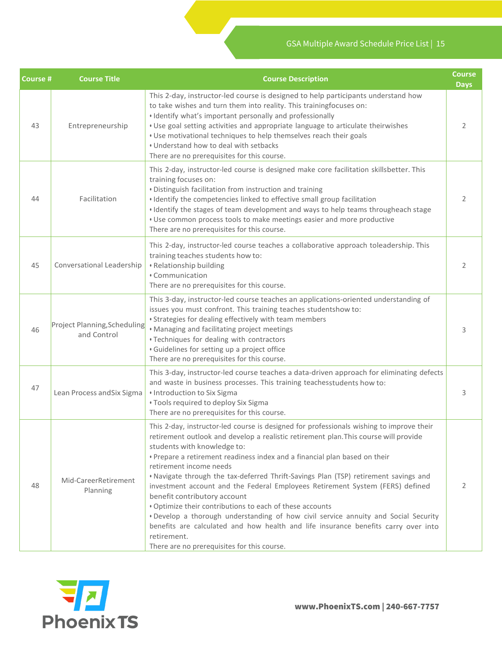| <b>Course #</b> | <b>Course Title</b>                                | <b>Course Description</b>                                                                                                                                                                                                                                                                                                                                                                                                                                                                                                                                                                                                                                                                                                                                                                                                                | <b>Course</b><br><b>Days</b> |
|-----------------|----------------------------------------------------|------------------------------------------------------------------------------------------------------------------------------------------------------------------------------------------------------------------------------------------------------------------------------------------------------------------------------------------------------------------------------------------------------------------------------------------------------------------------------------------------------------------------------------------------------------------------------------------------------------------------------------------------------------------------------------------------------------------------------------------------------------------------------------------------------------------------------------------|------------------------------|
| 43              | Entrepreneurship                                   | This 2-day, instructor-led course is designed to help participants understand how<br>to take wishes and turn them into reality. This trainingfocuses on:<br>• Identify what's important personally and professionally<br>. Use goal setting activities and appropriate language to articulate theirwishes<br>. Use motivational techniques to help themselves reach their goals<br>. Understand how to deal with setbacks<br>There are no prerequisites for this course.                                                                                                                                                                                                                                                                                                                                                                 | 2                            |
| 44              | Facilitation                                       | This 2-day, instructor-led course is designed make core facilitation skillsbetter. This<br>training focuses on:<br>. Distinguish facilitation from instruction and training<br>· Identify the competencies linked to effective small group facilitation<br>• Identify the stages of team development and ways to help teams througheach stage<br>. Use common process tools to make meetings easier and more productive<br>There are no prerequisites for this course.                                                                                                                                                                                                                                                                                                                                                                   | 2                            |
| 45              | Conversational Leadership                          | This 2-day, instructor-led course teaches a collaborative approach toleadership. This<br>training teaches students how to:<br>• Relationship building<br>• Communication<br>There are no prerequisites for this course.                                                                                                                                                                                                                                                                                                                                                                                                                                                                                                                                                                                                                  | 2                            |
| 46              | <b>Project Planning, Scheduling</b><br>and Control | This 3-day, instructor-led course teaches an applications-oriented understanding of<br>issues you must confront. This training teaches studentshow to:<br>• Strategies for dealing effectively with team members<br>. Managing and facilitating project meetings<br>• Techniques for dealing with contractors<br>· Guidelines for setting up a project office<br>There are no prerequisites for this course.                                                                                                                                                                                                                                                                                                                                                                                                                             | 3                            |
| 47              | Lean Process and Six Sigma                         | This 3-day, instructor-led course teaches a data-driven approach for eliminating defects<br>and waste in business processes. This training teachesstudents how to:<br>· Introduction to Six Sigma<br>• Tools required to deploy Six Sigma<br>There are no prerequisites for this course.                                                                                                                                                                                                                                                                                                                                                                                                                                                                                                                                                 | 3.                           |
| 48              | Mid-CareerRetirement<br>Planning                   | This 2-day, instructor-led course is designed for professionals wishing to improve their<br>retirement outlook and develop a realistic retirement plan. This course will provide<br>students with knowledge to:<br>. Prepare a retirement readiness index and a financial plan based on their<br>retirement income needs<br>. Navigate through the tax-deferred Thrift-Savings Plan (TSP) retirement savings and<br>investment account and the Federal Employees Retirement System (FERS) defined<br>benefit contributory account<br>. Optimize their contributions to each of these accounts<br>. Develop a thorough understanding of how civil service annuity and Social Security<br>benefits are calculated and how health and life insurance benefits carry over into<br>retirement.<br>There are no prerequisites for this course. | 2                            |

 $\mathcal{L}$ 

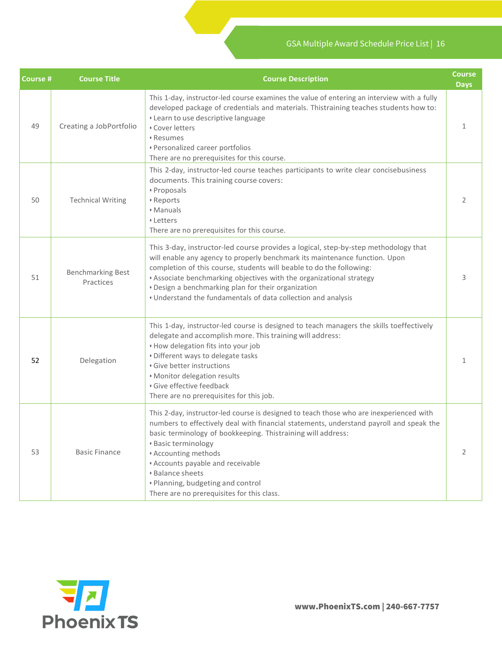| <b>Course #</b> | <b>Course Title</b>                   | <b>Course Description</b>                                                                                                                                                                                                                                                                                                                                                                                                                          | <b>Course</b><br><b>Days</b> |
|-----------------|---------------------------------------|----------------------------------------------------------------------------------------------------------------------------------------------------------------------------------------------------------------------------------------------------------------------------------------------------------------------------------------------------------------------------------------------------------------------------------------------------|------------------------------|
| 49              | Creating a JobPortfolio               | This 1-day, instructor-led course examines the value of entering an interview with a fully<br>developed package of credentials and materials. Thistraining teaches students how to:<br>• Learn to use descriptive language<br>• Cover letters<br>• Resumes<br>• Personalized career portfolios<br>There are no prerequisites for this course.                                                                                                      | 1                            |
| 50              | <b>Technical Writing</b>              | This 2-day, instructor-led course teaches participants to write clear concisebusiness<br>documents. This training course covers:<br>· Proposals<br>• Reports<br>• Manuals<br>• Letters<br>There are no prerequisites for this course.                                                                                                                                                                                                              | 2                            |
| 51              | <b>Benchmarking Best</b><br>Practices | This 3-day, instructor-led course provides a logical, step-by-step methodology that<br>will enable any agency to properly benchmark its maintenance function. Upon<br>completion of this course, students will beable to do the following:<br>• Associate benchmarking objectives with the organizational strategy<br>. Design a benchmarking plan for their organization<br>• Understand the fundamentals of data collection and analysis         | 3                            |
| 52              | Delegation                            | This 1-day, instructor-led course is designed to teach managers the skills toeffectively<br>delegate and accomplish more. This training will address:<br>• How delegation fits into your job<br>• Different ways to delegate tasks<br>· Give better instructions<br>· Monitor delegation results<br>· Give effective feedback<br>There are no prerequisites for this job.                                                                          | 1                            |
| 53              | <b>Basic Finance</b>                  | This 2-day, instructor-led course is designed to teach those who are inexperienced with<br>numbers to effectively deal with financial statements, understand payroll and speak the<br>basic terminology of bookkeeping. Thistraining will address:<br>· Basic terminology<br>• Accounting methods<br>• Accounts payable and receivable<br><b>Balance sheets</b><br>· Planning, budgeting and control<br>There are no prerequisites for this class. | 2                            |

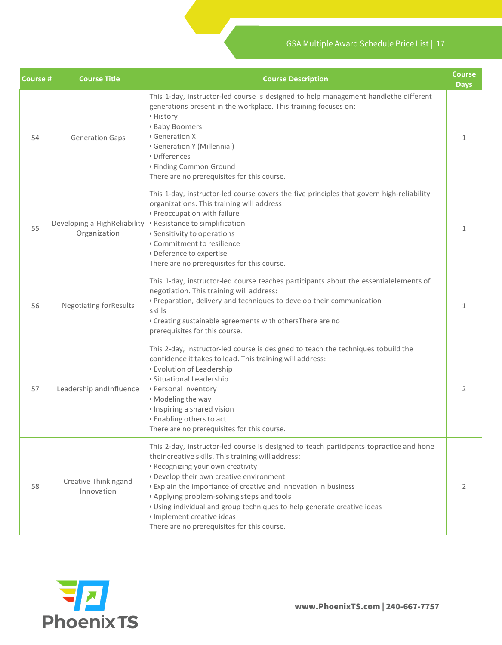| <b>Course #</b> | <b>Course Title</b>                          | <b>Course Description</b>                                                                                                                                                                                                                                                                                                                                                                                                                                                                               | <b>Course</b><br><b>Days</b> |
|-----------------|----------------------------------------------|---------------------------------------------------------------------------------------------------------------------------------------------------------------------------------------------------------------------------------------------------------------------------------------------------------------------------------------------------------------------------------------------------------------------------------------------------------------------------------------------------------|------------------------------|
| 54              | <b>Generation Gaps</b>                       | This 1-day, instructor-led course is designed to help management handlethe different<br>generations present in the workplace. This training focuses on:<br>• History<br><b>· Baby Boomers</b><br>• Generation X<br>• Generation Y (Millennial)<br>· Differences<br>• Finding Common Ground<br>There are no prerequisites for this course.                                                                                                                                                               | 1                            |
| 55              | Developing a HighReliability<br>Organization | This 1-day, instructor-led course covers the five principles that govern high-reliability<br>organizations. This training will address:<br>· Preoccupation with failure<br>• Resistance to simplification<br>• Sensitivity to operations<br>• Commitment to resilience<br>• Deference to expertise<br>There are no prerequisites for this course.                                                                                                                                                       | 1                            |
| 56              | <b>Negotiating forResults</b>                | This 1-day, instructor-led course teaches participants about the essentialelements of<br>negotiation. This training will address:<br>· Preparation, delivery and techniques to develop their communication<br>skills<br>. Creating sustainable agreements with othersThere are no<br>prerequisites for this course.                                                                                                                                                                                     | 1                            |
| 57              | Leadership and Influence                     | This 2-day, instructor-led course is designed to teach the techniques tobuild the<br>confidence it takes to lead. This training will address:<br>• Evolution of Leadership<br>· Situational Leadership<br>• Personal Inventory<br>· Modeling the way<br>· Inspiring a shared vision<br><b>Enabling others to act</b><br>There are no prerequisites for this course.                                                                                                                                     | 2                            |
| 58              | Creative Thinkingand<br>Innovation           | This 2-day, instructor-led course is designed to teach participants topractice and hone<br>their creative skills. This training will address:<br>• Recognizing your own creativity<br>• Develop their own creative environment<br>• Explain the importance of creative and innovation in business<br>. Applying problem-solving steps and tools<br>. Using individual and group techniques to help generate creative ideas<br>· Implement creative ideas<br>There are no prerequisites for this course. | $\overline{2}$               |

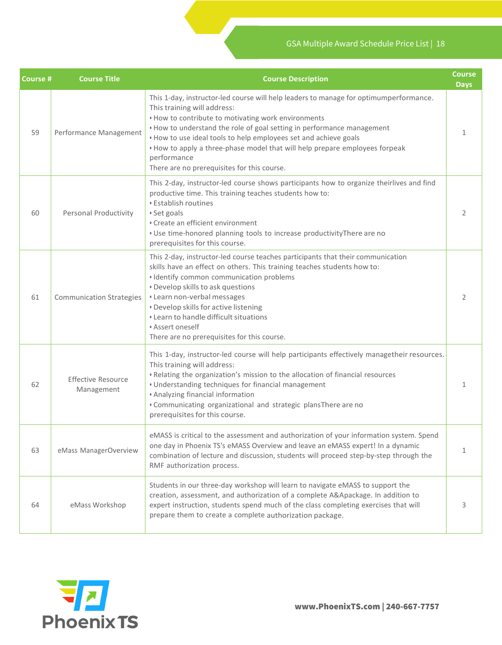| Course # | <b>Course Title</b>                     | <b>Course Description</b>                                                                                                                                                                                                                                                                                                                                                                                                                                              | <b>Course</b><br><b>Days</b> |
|----------|-----------------------------------------|------------------------------------------------------------------------------------------------------------------------------------------------------------------------------------------------------------------------------------------------------------------------------------------------------------------------------------------------------------------------------------------------------------------------------------------------------------------------|------------------------------|
| 59       | Performance Management                  | This 1-day, instructor-led course will help leaders to manage for optimumperformance.<br>This training will address:<br>• How to contribute to motivating work environments<br>• How to understand the role of goal setting in performance management<br>. How to use ideal tools to help employees set and achieve goals<br>. How to apply a three-phase model that will help prepare employees forpeak<br>performance<br>There are no prerequisites for this course. | 1                            |
| 60       | <b>Personal Productivity</b>            | This 2-day, instructor-led course shows participants how to organize theirlives and find<br>productive time. This training teaches students how to:<br><b>Establish routines</b><br>· Set goals<br>• Create an efficient environment<br>. Use time-honored planning tools to increase productivity There are no<br>prerequisites for this course.                                                                                                                      | $\mathcal{P}$                |
| 61       | <b>Communication Strategies</b>         | This 2-day, instructor-led course teaches participants that their communication<br>skills have an effect on others. This training teaches students how to:<br>· Identify common communication problems<br>• Develop skills to ask questions<br>• Learn non-verbal messages<br>• Develop skills for active listening<br>• Learn to handle difficult situations<br>• Assert oneself<br>There are no prerequisites for this course.                                       | 2                            |
| 62       | <b>Effective Resource</b><br>Management | This 1-day, instructor-led course will help participants effectively managetheir resources.<br>This training will address:<br>. Relating the organization's mission to the allocation of financial resources<br>• Understanding techniques for financial management<br>• Analyzing financial information<br>. Communicating organizational and strategic plansThere are no<br>prerequisites for this course.                                                           | 1                            |
| 63       | eMass ManagerOverview                   | eMASS is critical to the assessment and authorization of your information system. Spend<br>one day in Phoenix TS's eMASS Overview and leave an eMASS expert! In a dynamic<br>combination of lecture and discussion, students will proceed step-by-step through the<br>RMF authorization process.                                                                                                                                                                       | $\mathbf{1}$                 |
| 64       | eMass Workshop                          | Students in our three-day workshop will learn to navigate eMASS to support the<br>creation, assessment, and authorization of a complete A&Apackage. In addition to<br>expert instruction, students spend much of the class completing exercises that will<br>prepare them to create a complete authorization package.                                                                                                                                                  | 3                            |

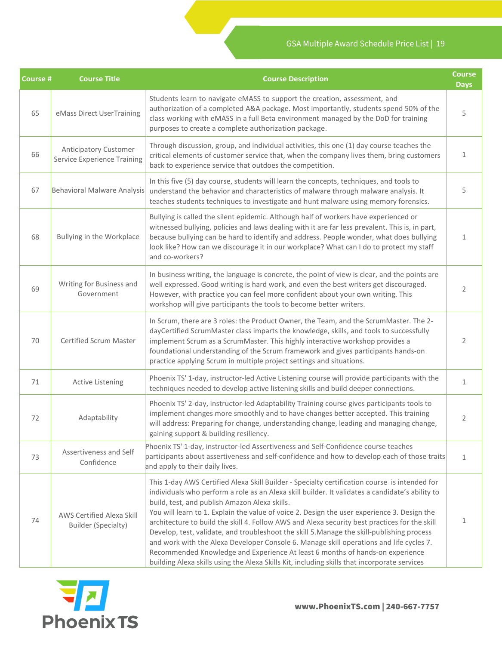| <b>Course #</b> | <b>Course Title</b>                                                                                                                                                                                                                                                                                                                                                                                                           | <b>Course Description</b>                                                                                                                                                                                                                                                                                                                                                                                                                                                                                                                                                                                                                                                                                                                                                                                                   | <b>Course</b><br><b>Days</b> |
|-----------------|-------------------------------------------------------------------------------------------------------------------------------------------------------------------------------------------------------------------------------------------------------------------------------------------------------------------------------------------------------------------------------------------------------------------------------|-----------------------------------------------------------------------------------------------------------------------------------------------------------------------------------------------------------------------------------------------------------------------------------------------------------------------------------------------------------------------------------------------------------------------------------------------------------------------------------------------------------------------------------------------------------------------------------------------------------------------------------------------------------------------------------------------------------------------------------------------------------------------------------------------------------------------------|------------------------------|
| 65              | eMass Direct UserTraining                                                                                                                                                                                                                                                                                                                                                                                                     | Students learn to navigate eMASS to support the creation, assessment, and<br>authorization of a completed A&A package. Most importantly, students spend 50% of the<br>class working with eMASS in a full Beta environment managed by the DoD for training<br>purposes to create a complete authorization package.                                                                                                                                                                                                                                                                                                                                                                                                                                                                                                           | 5                            |
| 66              | <b>Anticipatory Customer</b><br><b>Service Experience Training</b>                                                                                                                                                                                                                                                                                                                                                            | Through discussion, group, and individual activities, this one (1) day course teaches the<br>critical elements of customer service that, when the company lives them, bring customers<br>back to experience service that outdoes the competition.                                                                                                                                                                                                                                                                                                                                                                                                                                                                                                                                                                           | $\mathbf{1}$                 |
| 67              | <b>Behavioral Malware Analysis</b>                                                                                                                                                                                                                                                                                                                                                                                            | In this five (5) day course, students will learn the concepts, techniques, and tools to<br>understand the behavior and characteristics of malware through malware analysis. It<br>teaches students techniques to investigate and hunt malware using memory forensics.                                                                                                                                                                                                                                                                                                                                                                                                                                                                                                                                                       | 5                            |
| 68              | Bullying is called the silent epidemic. Although half of workers have experienced or<br>witnessed bullying, policies and laws dealing with it are far less prevalent. This is, in part,<br>Bullying in the Workplace<br>because bullying can be hard to identify and address. People wonder, what does bullying<br>look like? How can we discourage it in our workplace? What can I do to protect my staff<br>and co-workers? |                                                                                                                                                                                                                                                                                                                                                                                                                                                                                                                                                                                                                                                                                                                                                                                                                             | $\mathbf{1}$                 |
| 69              | Writing for Business and<br>Government                                                                                                                                                                                                                                                                                                                                                                                        | In business writing, the language is concrete, the point of view is clear, and the points are<br>well expressed. Good writing is hard work, and even the best writers get discouraged.<br>However, with practice you can feel more confident about your own writing. This<br>workshop will give participants the tools to become better writers.                                                                                                                                                                                                                                                                                                                                                                                                                                                                            | 2                            |
| 70              | Certified Scrum Master                                                                                                                                                                                                                                                                                                                                                                                                        | In Scrum, there are 3 roles: the Product Owner, the Team, and the ScrumMaster. The 2-<br>dayCertified ScrumMaster class imparts the knowledge, skills, and tools to successfully<br>implement Scrum as a ScrumMaster. This highly interactive workshop provides a<br>foundational understanding of the Scrum framework and gives participants hands-on<br>practice applying Scrum in multiple project settings and situations.                                                                                                                                                                                                                                                                                                                                                                                              | 2                            |
| 71              | <b>Active Listening</b>                                                                                                                                                                                                                                                                                                                                                                                                       | Phoenix TS' 1-day, instructor-led Active Listening course will provide participants with the<br>techniques needed to develop active listening skills and build deeper connections.                                                                                                                                                                                                                                                                                                                                                                                                                                                                                                                                                                                                                                          | 1                            |
| 72              | Adaptability                                                                                                                                                                                                                                                                                                                                                                                                                  | Phoenix TS' 2-day, instructor-led Adaptability Training course gives participants tools to<br>implement changes more smoothly and to have changes better accepted. This training<br>will address: Preparing for change, understanding change, leading and managing change,<br>gaining support & building resiliency.                                                                                                                                                                                                                                                                                                                                                                                                                                                                                                        | 2                            |
| 73              | Assertiveness and Self<br>Confidence                                                                                                                                                                                                                                                                                                                                                                                          | Phoenix TS' 1-day, instructor-led Assertiveness and Self-Confidence course teaches<br>participants about assertiveness and self-confidence and how to develop each of those traits<br>and apply to their daily lives.                                                                                                                                                                                                                                                                                                                                                                                                                                                                                                                                                                                                       | $\mathbf{1}$                 |
| 74              | AWS Certified Alexa Skill<br><b>Builder (Specialty)</b>                                                                                                                                                                                                                                                                                                                                                                       | This 1-day AWS Certified Alexa Skill Builder - Specialty certification course is intended for<br>individuals who perform a role as an Alexa skill builder. It validates a candidate's ability to<br>build, test, and publish Amazon Alexa skills.<br>You will learn to 1. Explain the value of voice 2. Design the user experience 3. Design the<br>architecture to build the skill 4. Follow AWS and Alexa security best practices for the skill<br>Develop, test, validate, and troubleshoot the skill 5. Manage the skill-publishing process<br>and work with the Alexa Developer Console 6. Manage skill operations and life cycles 7.<br>Recommended Knowledge and Experience At least 6 months of hands-on experience<br>building Alexa skills using the Alexa Skills Kit, including skills that incorporate services | 1                            |

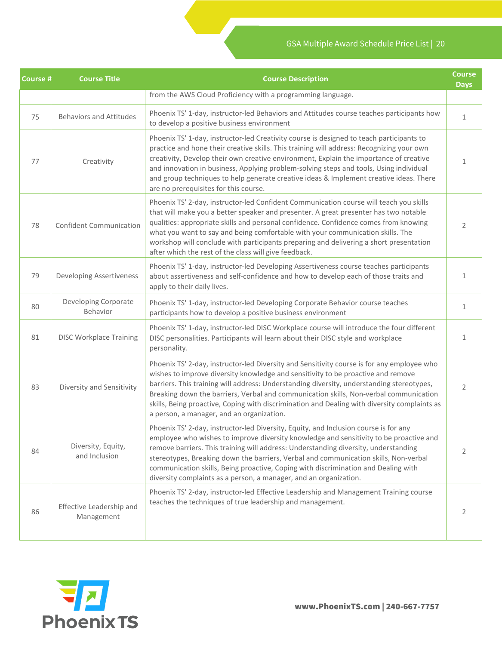| Course # | <b>Course Title</b>                    | <b>Course</b><br><b>Course Description</b>                                                                                                                                                                                                                                                                                                                                                                                                                                                                               |              |  |  |
|----------|----------------------------------------|--------------------------------------------------------------------------------------------------------------------------------------------------------------------------------------------------------------------------------------------------------------------------------------------------------------------------------------------------------------------------------------------------------------------------------------------------------------------------------------------------------------------------|--------------|--|--|
|          |                                        | from the AWS Cloud Proficiency with a programming language.                                                                                                                                                                                                                                                                                                                                                                                                                                                              |              |  |  |
| 75       | <b>Behaviors and Attitudes</b>         | Phoenix TS' 1-day, instructor-led Behaviors and Attitudes course teaches participants how<br>to develop a positive business environment                                                                                                                                                                                                                                                                                                                                                                                  | $\mathbf{1}$ |  |  |
| 77       | Creativity                             | Phoenix TS' 1-day, instructor-led Creativity course is designed to teach participants to<br>practice and hone their creative skills. This training will address: Recognizing your own<br>creativity, Develop their own creative environment, Explain the importance of creative<br>and innovation in business, Applying problem-solving steps and tools, Using individual<br>and group techniques to help generate creative ideas & Implement creative ideas. There<br>are no prerequisites for this course.             | 1            |  |  |
| 78       | <b>Confident Communication</b>         | Phoenix TS' 2-day, instructor-led Confident Communication course will teach you skills<br>that will make you a better speaker and presenter. A great presenter has two notable<br>qualities: appropriate skills and personal confidence. Confidence comes from knowing<br>what you want to say and being comfortable with your communication skills. The<br>workshop will conclude with participants preparing and delivering a short presentation<br>after which the rest of the class will give feedback.              |              |  |  |
| 79       | <b>Developing Assertiveness</b>        | Phoenix TS' 1-day, instructor-led Developing Assertiveness course teaches participants<br>about assertiveness and self-confidence and how to develop each of those traits and<br>apply to their daily lives.                                                                                                                                                                                                                                                                                                             |              |  |  |
| 80       | Developing Corporate<br>Behavior       | Phoenix TS' 1-day, instructor-led Developing Corporate Behavior course teaches<br>participants how to develop a positive business environment                                                                                                                                                                                                                                                                                                                                                                            |              |  |  |
| 81       | <b>DISC Workplace Training</b>         | Phoenix TS' 1-day, instructor-led DISC Workplace course will introduce the four different<br>DISC personalities. Participants will learn about their DISC style and workplace<br>personality.                                                                                                                                                                                                                                                                                                                            | 1            |  |  |
| 83       | Diversity and Sensitivity              | Phoenix TS' 2-day, instructor-led Diversity and Sensitivity course is for any employee who<br>wishes to improve diversity knowledge and sensitivity to be proactive and remove<br>barriers. This training will address: Understanding diversity, understanding stereotypes,<br>Breaking down the barriers, Verbal and communication skills, Non-verbal communication<br>skills, Being proactive, Coping with discrimination and Dealing with diversity complaints as<br>a person, a manager, and an organization.        | 2            |  |  |
| 84       | Diversity, Equity,<br>and Inclusion    | Phoenix TS' 2-day, instructor-led Diversity, Equity, and Inclusion course is for any<br>employee who wishes to improve diversity knowledge and sensitivity to be proactive and<br>remove barriers. This training will address: Understanding diversity, understanding<br>stereotypes, Breaking down the barriers, Verbal and communication skills, Non-verbal<br>communication skills, Being proactive, Coping with discrimination and Dealing with<br>diversity complaints as a person, a manager, and an organization. | 2            |  |  |
| 86       | Effective Leadership and<br>Management | Phoenix TS' 2-day, instructor-led Effective Leadership and Management Training course<br>teaches the techniques of true leadership and management.                                                                                                                                                                                                                                                                                                                                                                       | 2            |  |  |

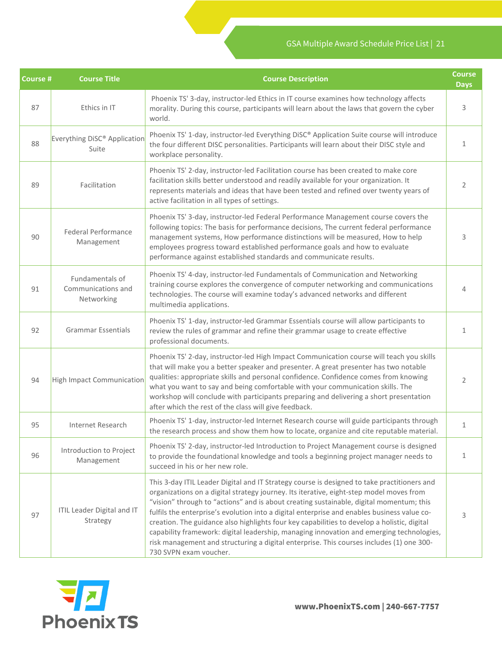| <b>Course #</b> | <b>Course Title</b>                                                                                                                                                                                                                                         | <b>Course Description</b>                                                                                                                                                                                                                                                                                                                                                                                                                                                                                                                                                                                                                                                                         |              |
|-----------------|-------------------------------------------------------------------------------------------------------------------------------------------------------------------------------------------------------------------------------------------------------------|---------------------------------------------------------------------------------------------------------------------------------------------------------------------------------------------------------------------------------------------------------------------------------------------------------------------------------------------------------------------------------------------------------------------------------------------------------------------------------------------------------------------------------------------------------------------------------------------------------------------------------------------------------------------------------------------------|--------------|
| 87              | Ethics in IT                                                                                                                                                                                                                                                | Phoenix TS' 3-day, instructor-led Ethics in IT course examines how technology affects<br>morality. During this course, participants will learn about the laws that govern the cyber<br>world.                                                                                                                                                                                                                                                                                                                                                                                                                                                                                                     | 3            |
| 88              | Everything DiSC® Application<br>Suite                                                                                                                                                                                                                       | Phoenix TS' 1-day, instructor-led Everything DiSC® Application Suite course will introduce<br>the four different DISC personalities. Participants will learn about their DISC style and<br>workplace personality.                                                                                                                                                                                                                                                                                                                                                                                                                                                                                 | 1            |
| 89              | Facilitation                                                                                                                                                                                                                                                | Phoenix TS' 2-day, instructor-led Facilitation course has been created to make core<br>facilitation skills better understood and readily available for your organization. It<br>represents materials and ideas that have been tested and refined over twenty years of<br>active facilitation in all types of settings.                                                                                                                                                                                                                                                                                                                                                                            |              |
| 90              | <b>Federal Performance</b><br>Management                                                                                                                                                                                                                    | Phoenix TS' 3-day, instructor-led Federal Performance Management course covers the<br>following topics: The basis for performance decisions, The current federal performance<br>management systems, How performance distinctions will be measured, How to help<br>employees progress toward established performance goals and how to evaluate<br>performance against established standards and communicate results.                                                                                                                                                                                                                                                                               |              |
| 91              | Fundamentals of<br>Communications and<br>Networking                                                                                                                                                                                                         | Phoenix TS' 4-day, instructor-led Fundamentals of Communication and Networking<br>training course explores the convergence of computer networking and communications<br>technologies. The course will examine today's advanced networks and different<br>multimedia applications.                                                                                                                                                                                                                                                                                                                                                                                                                 |              |
| 92              | Phoenix TS' 1-day, instructor-led Grammar Essentials course will allow participants to<br><b>Grammar Essentials</b><br>review the rules of grammar and refine their grammar usage to create effective<br>professional documents.                            |                                                                                                                                                                                                                                                                                                                                                                                                                                                                                                                                                                                                                                                                                                   | $\mathbf{1}$ |
| 94              | <b>High Impact Communication</b>                                                                                                                                                                                                                            | Phoenix TS' 2-day, instructor-led High Impact Communication course will teach you skills<br>that will make you a better speaker and presenter. A great presenter has two notable<br>qualities: appropriate skills and personal confidence. Confidence comes from knowing<br>what you want to say and being comfortable with your communication skills. The<br>workshop will conclude with participants preparing and delivering a short presentation<br>after which the rest of the class will give feedback.                                                                                                                                                                                     |              |
| 95              | Internet Research                                                                                                                                                                                                                                           | Phoenix TS' 1-day, instructor-led Internet Research course will guide participants through<br>the research process and show them how to locate, organize and cite reputable material.                                                                                                                                                                                                                                                                                                                                                                                                                                                                                                             |              |
| 96              | Phoenix TS' 2-day, instructor-led Introduction to Project Management course is designed<br>Introduction to Project<br>to provide the foundational knowledge and tools a beginning project manager needs to<br>Management<br>succeed in his or her new role. |                                                                                                                                                                                                                                                                                                                                                                                                                                                                                                                                                                                                                                                                                                   | $\mathbf{1}$ |
| 97              | <b>ITIL Leader Digital and IT</b><br>Strategy                                                                                                                                                                                                               | This 3-day ITIL Leader Digital and IT Strategy course is designed to take practitioners and<br>organizations on a digital strategy journey. Its iterative, eight-step model moves from<br>"vision" through to "actions" and is about creating sustainable, digital momentum; this<br>fulfils the enterprise's evolution into a digital enterprise and enables business value co-<br>creation. The guidance also highlights four key capabilities to develop a holistic, digital<br>capability framework: digital leadership, managing innovation and emerging technologies,<br>risk management and structuring a digital enterprise. This courses includes (1) one 300-<br>730 SVPN exam voucher. | 3            |

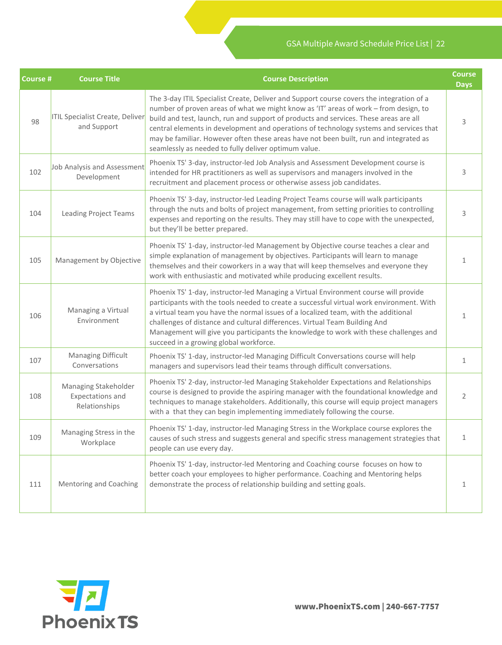| <b>Course #</b> | <b>Course Title</b>                                                                                                                                                                                                                                                                                                                             | <b>Course Description</b>                                                                                                                                                                                                                                                                                                                                                                                                                                                                                            | <b>Course</b><br><b>Days</b> |
|-----------------|-------------------------------------------------------------------------------------------------------------------------------------------------------------------------------------------------------------------------------------------------------------------------------------------------------------------------------------------------|----------------------------------------------------------------------------------------------------------------------------------------------------------------------------------------------------------------------------------------------------------------------------------------------------------------------------------------------------------------------------------------------------------------------------------------------------------------------------------------------------------------------|------------------------------|
| 98              | <b>ITIL Specialist Create, Deliver</b><br>and Support                                                                                                                                                                                                                                                                                           | The 3-day ITIL Specialist Create, Deliver and Support course covers the integration of a<br>number of proven areas of what we might know as 'IT' areas of work - from design, to<br>build and test, launch, run and support of products and services. These areas are all<br>central elements in development and operations of technology systems and services that<br>may be familiar. However often these areas have not been built, run and integrated as<br>seamlessly as needed to fully deliver optimum value. | 3                            |
| 102             | Phoenix TS' 3-day, instructor-led Job Analysis and Assessment Development course is<br>Job Analysis and Assessment<br>intended for HR practitioners as well as supervisors and managers involved in the<br>Development<br>recruitment and placement process or otherwise assess job candidates.                                                 |                                                                                                                                                                                                                                                                                                                                                                                                                                                                                                                      | 3                            |
| 104             | Phoenix TS' 3-day, instructor-led Leading Project Teams course will walk participants<br>through the nuts and bolts of project management, from setting priorities to controlling<br><b>Leading Project Teams</b><br>expenses and reporting on the results. They may still have to cope with the unexpected,<br>but they'll be better prepared. |                                                                                                                                                                                                                                                                                                                                                                                                                                                                                                                      | 3                            |
| 105             | Management by Objective                                                                                                                                                                                                                                                                                                                         | Phoenix TS' 1-day, instructor-led Management by Objective course teaches a clear and<br>simple explanation of management by objectives. Participants will learn to manage<br>themselves and their coworkers in a way that will keep themselves and everyone they<br>work with enthusiastic and motivated while producing excellent results.                                                                                                                                                                          | 1                            |
| 106             | Managing a Virtual<br>Environment                                                                                                                                                                                                                                                                                                               | Phoenix TS' 1-day, instructor-led Managing a Virtual Environment course will provide<br>participants with the tools needed to create a successful virtual work environment. With<br>a virtual team you have the normal issues of a localized team, with the additional<br>challenges of distance and cultural differences. Virtual Team Building And<br>Management will give you participants the knowledge to work with these challenges and<br>succeed in a growing global workforce.                              | $\mathbf{1}$                 |
| 107             | Managing Difficult<br>Conversations                                                                                                                                                                                                                                                                                                             | Phoenix TS' 1-day, instructor-led Managing Difficult Conversations course will help<br>managers and supervisors lead their teams through difficult conversations.                                                                                                                                                                                                                                                                                                                                                    | 1                            |
| 108             | Managing Stakeholder<br><b>Expectations and</b><br>Relationships                                                                                                                                                                                                                                                                                | Phoenix TS' 2-day, instructor-led Managing Stakeholder Expectations and Relationships<br>course is designed to provide the aspiring manager with the foundational knowledge and<br>techniques to manage stakeholders. Additionally, this course will equip project managers<br>with a that they can begin implementing immediately following the course.                                                                                                                                                             | 2                            |
| 109             | Managing Stress in the<br>Workplace                                                                                                                                                                                                                                                                                                             | Phoenix TS' 1-day, instructor-led Managing Stress in the Workplace course explores the<br>causes of such stress and suggests general and specific stress management strategies that<br>people can use every day.                                                                                                                                                                                                                                                                                                     | $\mathbf{1}$                 |
| 111             | Mentoring and Coaching                                                                                                                                                                                                                                                                                                                          | Phoenix TS' 1-day, instructor-led Mentoring and Coaching course focuses on how to<br>better coach your employees to higher performance. Coaching and Mentoring helps<br>demonstrate the process of relationship building and setting goals.                                                                                                                                                                                                                                                                          | 1                            |

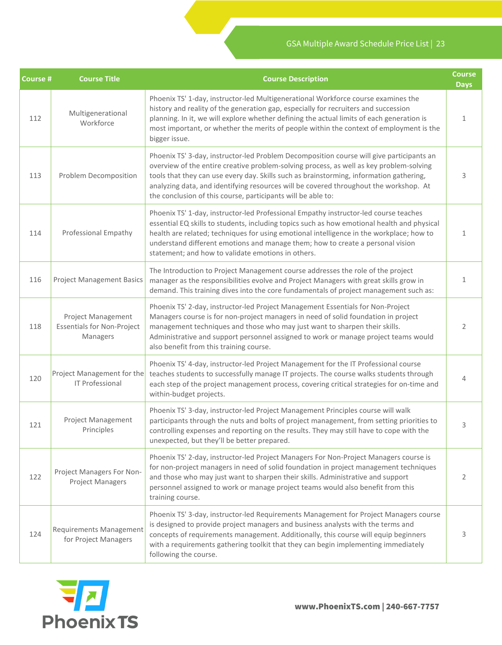| Course # | <b>Course Title</b>                                                                                                                                                                                                                                                                                                                                                                                                                                              | <b>Course Description</b>                                                                                                                                                                                                                                                                                                                                                                                               | <b>Course</b><br><b>Days</b> |
|----------|------------------------------------------------------------------------------------------------------------------------------------------------------------------------------------------------------------------------------------------------------------------------------------------------------------------------------------------------------------------------------------------------------------------------------------------------------------------|-------------------------------------------------------------------------------------------------------------------------------------------------------------------------------------------------------------------------------------------------------------------------------------------------------------------------------------------------------------------------------------------------------------------------|------------------------------|
| 112      | Multigenerational<br>Workforce                                                                                                                                                                                                                                                                                                                                                                                                                                   | Phoenix TS' 1-day, instructor-led Multigenerational Workforce course examines the<br>history and reality of the generation gap, especially for recruiters and succession<br>planning. In it, we will explore whether defining the actual limits of each generation is<br>most important, or whether the merits of people within the context of employment is the<br>bigger issue.                                       | 1                            |
| 113      | Phoenix TS' 3-day, instructor-led Problem Decomposition course will give participants an<br>overview of the entire creative problem-solving process, as well as key problem-solving<br>tools that they can use every day. Skills such as brainstorming, information gathering,<br>Problem Decomposition<br>analyzing data, and identifying resources will be covered throughout the workshop. At<br>the conclusion of this course, participants will be able to: |                                                                                                                                                                                                                                                                                                                                                                                                                         | 3                            |
| 114      | Professional Empathy                                                                                                                                                                                                                                                                                                                                                                                                                                             | Phoenix TS' 1-day, instructor-led Professional Empathy instructor-led course teaches<br>essential EQ skills to students, including topics such as how emotional health and physical<br>health are related; techniques for using emotional intelligence in the workplace; how to<br>understand different emotions and manage them; how to create a personal vision<br>statement; and how to validate emotions in others. |                              |
| 116      | <b>Project Management Basics</b>                                                                                                                                                                                                                                                                                                                                                                                                                                 | The Introduction to Project Management course addresses the role of the project<br>manager as the responsibilities evolve and Project Managers with great skills grow in<br>demand. This training dives into the core fundamentals of project management such as:                                                                                                                                                       |                              |
| 118      | Phoenix TS' 2-day, instructor-led Project Management Essentials for Non-Project<br>Managers course is for non-project managers in need of solid foundation in project<br>Project Management<br><b>Essentials for Non-Project</b><br>management techniques and those who may just want to sharpen their skills.<br>Administrative and support personnel assigned to work or manage project teams would<br>Managers<br>also benefit from this training course.     |                                                                                                                                                                                                                                                                                                                                                                                                                         | 2                            |
| 120      | Project Management for the<br><b>IT Professional</b>                                                                                                                                                                                                                                                                                                                                                                                                             | Phoenix TS' 4-day, instructor-led Project Management for the IT Professional course<br>teaches students to successfully manage IT projects. The course walks students through<br>each step of the project management process, covering critical strategies for on-time and<br>within-budget projects.                                                                                                                   | 4                            |
| 121      | <b>Project Management</b><br>Principles                                                                                                                                                                                                                                                                                                                                                                                                                          | Phoenix TS' 3-day, instructor-led Project Management Principles course will walk<br>participants through the nuts and bolts of project management, from setting priorities to<br>controlling expenses and reporting on the results. They may still have to cope with the<br>unexpected, but they'll be better prepared.                                                                                                 | 3                            |
| 122      | Project Managers For Non-<br><b>Project Managers</b>                                                                                                                                                                                                                                                                                                                                                                                                             | Phoenix TS' 2-day, instructor-led Project Managers For Non-Project Managers course is<br>for non-project managers in need of solid foundation in project management techniques<br>and those who may just want to sharpen their skills. Administrative and support<br>personnel assigned to work or manage project teams would also benefit from this<br>training course.                                                | 2                            |
| 124      | <b>Requirements Management</b><br>for Project Managers                                                                                                                                                                                                                                                                                                                                                                                                           | Phoenix TS' 3-day, instructor-led Requirements Management for Project Managers course<br>is designed to provide project managers and business analysts with the terms and<br>concepts of requirements management. Additionally, this course will equip beginners<br>with a requirements gathering toolkit that they can begin implementing immediately<br>following the course.                                         | 3                            |

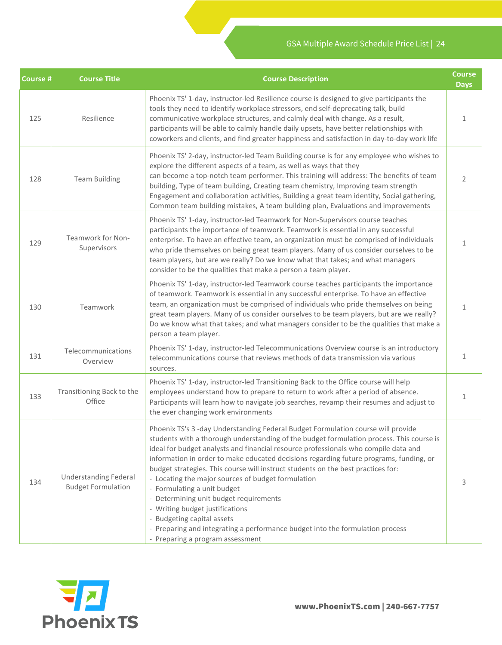| Course # | <b>Course Title</b>                                       | <b>Course Description</b>                                                                                                                                                                                                                                                                                                                                                                                                                                                                                                                                                                                                                                                                                                                                              | <b>Course</b><br><b>Days</b> |
|----------|-----------------------------------------------------------|------------------------------------------------------------------------------------------------------------------------------------------------------------------------------------------------------------------------------------------------------------------------------------------------------------------------------------------------------------------------------------------------------------------------------------------------------------------------------------------------------------------------------------------------------------------------------------------------------------------------------------------------------------------------------------------------------------------------------------------------------------------------|------------------------------|
| 125      | Resilience                                                | Phoenix TS' 1-day, instructor-led Resilience course is designed to give participants the<br>tools they need to identify workplace stressors, end self-deprecating talk, build<br>communicative workplace structures, and calmly deal with change. As a result,<br>participants will be able to calmly handle daily upsets, have better relationships with<br>coworkers and clients, and find greater happiness and satisfaction in day-to-day work life                                                                                                                                                                                                                                                                                                                | 1                            |
| 128      | <b>Team Building</b>                                      | Phoenix TS' 2-day, instructor-led Team Building course is for any employee who wishes to<br>explore the different aspects of a team, as well as ways that they<br>can become a top-notch team performer. This training will address: The benefits of team<br>building, Type of team building, Creating team chemistry, Improving team strength<br>Engagement and collaboration activities, Building a great team identity, Social gathering,<br>Common team building mistakes, A team building plan, Evaluations and improvements                                                                                                                                                                                                                                      |                              |
| 129      | Teamwork for Non-<br>Supervisors                          | Phoenix TS' 1-day, instructor-led Teamwork for Non-Supervisors course teaches<br>participants the importance of teamwork. Teamwork is essential in any successful<br>enterprise. To have an effective team, an organization must be comprised of individuals<br>who pride themselves on being great team players. Many of us consider ourselves to be<br>team players, but are we really? Do we know what that takes; and what managers<br>consider to be the qualities that make a person a team player.                                                                                                                                                                                                                                                              | $\mathbf{1}$                 |
| 130      | Teamwork                                                  | Phoenix TS' 1-day, instructor-led Teamwork course teaches participants the importance<br>of teamwork. Teamwork is essential in any successful enterprise. To have an effective<br>team, an organization must be comprised of individuals who pride themselves on being<br>great team players. Many of us consider ourselves to be team players, but are we really?<br>Do we know what that takes; and what managers consider to be the qualities that make a<br>person a team player.                                                                                                                                                                                                                                                                                  | $\mathbf{1}$                 |
| 131      | Telecommunications<br>Overview                            | Phoenix TS' 1-day, instructor-led Telecommunications Overview course is an introductory<br>telecommunications course that reviews methods of data transmission via various<br>sources.                                                                                                                                                                                                                                                                                                                                                                                                                                                                                                                                                                                 | $\mathbf{1}$                 |
| 133      | Transitioning Back to the<br>Office                       | Phoenix TS' 1-day, instructor-led Transitioning Back to the Office course will help<br>employees understand how to prepare to return to work after a period of absence.<br>Participants will learn how to navigate job searches, revamp their resumes and adjust to<br>the ever changing work environments                                                                                                                                                                                                                                                                                                                                                                                                                                                             | $\mathbf{1}$                 |
| 134      | <b>Understanding Federal</b><br><b>Budget Formulation</b> | Phoenix TS's 3 -day Understanding Federal Budget Formulation course will provide<br>students with a thorough understanding of the budget formulation process. This course is<br>ideal for budget analysts and financial resource professionals who compile data and<br>information in order to make educated decisions regarding future programs, funding, or<br>budget strategies. This course will instruct students on the best practices for:<br>- Locating the major sources of budget formulation<br>- Formulating a unit budget<br>- Determining unit budget requirements<br>- Writing budget justifications<br>- Budgeting capital assets<br>- Preparing and integrating a performance budget into the formulation process<br>- Preparing a program assessment | 3                            |

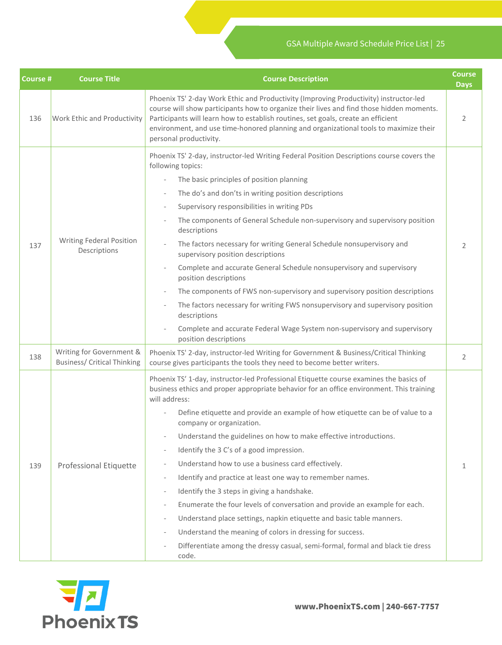| <b>Course #</b> | <b>Course Title</b>                                            | <b>Course Description</b>                                                                                                                                                                                                                                                                                                                                                                                                                                                                                                                                                                                                                                                                                                                                                                                                                                                                                                                                                                                                                                                                                    | <b>Course</b><br><b>Days</b> |
|-----------------|----------------------------------------------------------------|--------------------------------------------------------------------------------------------------------------------------------------------------------------------------------------------------------------------------------------------------------------------------------------------------------------------------------------------------------------------------------------------------------------------------------------------------------------------------------------------------------------------------------------------------------------------------------------------------------------------------------------------------------------------------------------------------------------------------------------------------------------------------------------------------------------------------------------------------------------------------------------------------------------------------------------------------------------------------------------------------------------------------------------------------------------------------------------------------------------|------------------------------|
| 136             | Work Ethic and Productivity                                    | Phoenix TS' 2-day Work Ethic and Productivity (Improving Productivity) instructor-led<br>course will show participants how to organize their lives and find those hidden moments.<br>Participants will learn how to establish routines, set goals, create an efficient<br>environment, and use time-honored planning and organizational tools to maximize their<br>personal productivity.                                                                                                                                                                                                                                                                                                                                                                                                                                                                                                                                                                                                                                                                                                                    | 2                            |
| 137             | <b>Writing Federal Position</b><br>Descriptions                | Phoenix TS' 2-day, instructor-led Writing Federal Position Descriptions course covers the<br>following topics:<br>The basic principles of position planning<br>$\overline{\phantom{a}}$<br>The do's and don'ts in writing position descriptions<br>$\frac{1}{2}$<br>Supervisory responsibilities in writing PDs<br>The components of General Schedule non-supervisory and supervisory position<br>descriptions<br>The factors necessary for writing General Schedule nonsupervisory and<br>supervisory position descriptions<br>Complete and accurate General Schedule nonsupervisory and supervisory<br>$\frac{1}{2}$<br>position descriptions<br>The components of FWS non-supervisory and supervisory position descriptions<br>$\bar{a}$<br>The factors necessary for writing FWS nonsupervisory and supervisory position<br>descriptions<br>Complete and accurate Federal Wage System non-supervisory and supervisory<br>L,<br>position descriptions                                                                                                                                                     | 2                            |
| 138             | Writing for Government &<br><b>Business/ Critical Thinking</b> | Phoenix TS' 2-day, instructor-led Writing for Government & Business/Critical Thinking<br>course gives participants the tools they need to become better writers.                                                                                                                                                                                                                                                                                                                                                                                                                                                                                                                                                                                                                                                                                                                                                                                                                                                                                                                                             | 2                            |
| 139             | Professional Etiquette                                         | Phoenix TS' 1-day, instructor-led Professional Etiquette course examines the basics of<br>business ethics and proper appropriate behavior for an office environment. This training<br>will address:<br>Define etiquette and provide an example of how etiquette can be of value to a<br>company or organization.<br>Understand the guidelines on how to make effective introductions.<br>$\overline{\phantom{0}}$<br>Identify the 3 C's of a good impression.<br>$\overline{\phantom{a}}$<br>Understand how to use a business card effectively.<br>$\overline{\phantom{0}}$<br>Identify and practice at least one way to remember names.<br>$\overline{\phantom{a}}$<br>Identify the 3 steps in giving a handshake.<br>$\overline{\phantom{0}}$<br>Enumerate the four levels of conversation and provide an example for each.<br>$\bar{ }$<br>Understand place settings, napkin etiquette and basic table manners.<br>$\frac{1}{2}$<br>Understand the meaning of colors in dressing for success.<br>$\frac{1}{2}$<br>Differentiate among the dressy casual, semi-formal, formal and black tie dress<br>code. | 1                            |

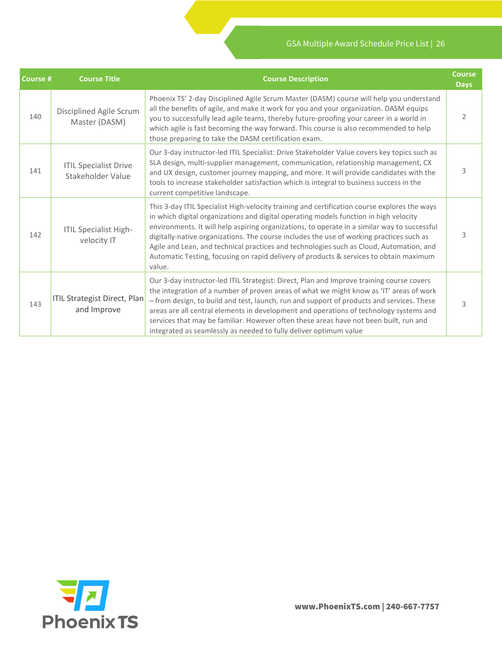| Course # | <b>Course Title</b>                                | <b>Course Description</b>                                                                                                                                                                                                                                                                                                                                                                                                                                                                                                                                                        | <b>Course</b><br><b>Days</b> |
|----------|----------------------------------------------------|----------------------------------------------------------------------------------------------------------------------------------------------------------------------------------------------------------------------------------------------------------------------------------------------------------------------------------------------------------------------------------------------------------------------------------------------------------------------------------------------------------------------------------------------------------------------------------|------------------------------|
| 140      | Disciplined Agile Scrum<br>Master (DASM)           | Phoenix TS' 2-day Disciplined Agile Scrum Master (DASM) course will help you understand<br>all the benefits of agile, and make it work for you and your organization. DASM equips<br>you to successfully lead agile teams, thereby future-proofing your career in a world in<br>which agile is fast becoming the way forward. This course is also recommended to help<br>those preparing to take the DASM certification exam.                                                                                                                                                    | 2                            |
| 141      | <b>ITIL Specialist Drive</b><br>Stakeholder Value  | Our 3-day instructor-led ITIL Specialist: Drive Stakeholder Value covers key topics such as<br>SLA design, multi-supplier management, communication, relationship management, CX<br>and UX design, customer journey mapping, and more. It will provide candidates with the<br>tools to increase stakeholder satisfaction which is integral to business success in the<br>current competitive landscape.                                                                                                                                                                          | 3                            |
| 142      | <b>ITIL Specialist High-</b><br>velocity IT        | This 3-day ITIL Specialist High-velocity training and certification course explores the ways<br>in which digital organizations and digital operating models function in high velocity<br>environments. It will help aspiring organizations, to operate in a similar way to successful<br>digitally-native organizations. The course includes the use of working practices such as<br>Agile and Lean, and technical practices and technologies such as Cloud, Automation, and<br>Automatic Testing, focusing on rapid delivery of products & services to obtain maximum<br>value. | 3                            |
| 143      | <b>ITIL Strategist Direct, Plan</b><br>and Improve | Our 3-day instructor-led ITIL Strategist: Direct, Plan and Improve training course covers<br>the integration of a number of proven areas of what we might know as 'IT' areas of work<br>- from design, to build and test, launch, run and support of products and services. These<br>areas are all central elements in development and operations of technology systems and<br>services that may be familiar. However often these areas have not been built, run and<br>integrated as seamlessly as needed to fully deliver optimum value                                        | 3                            |

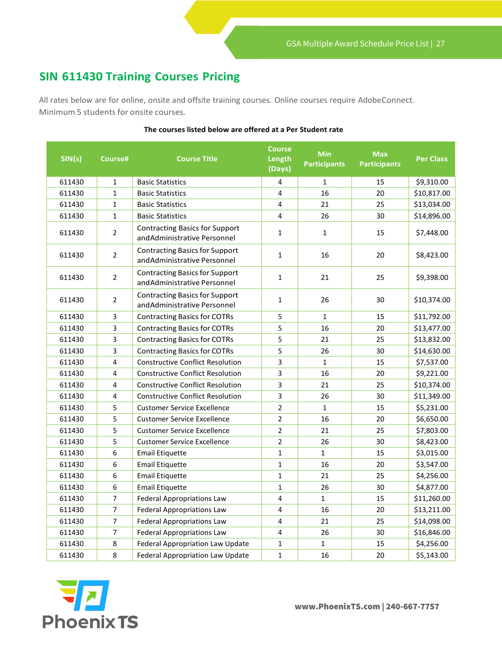### <span id="page-26-0"></span>**SIN 611430 Training Courses Pricing**

All rates below are for online, onsite and offsite training courses. Online courses require Adobe Connect. Minimum 5 students for onsite courses.

| SIN(s) | Course#        | <b>Course Title</b>                                                   | <b>Course</b><br>Length<br>(Days) | <b>Min</b><br><b>Participants</b> | <b>Max</b><br><b>Participants</b> | <b>Per Class</b> |
|--------|----------------|-----------------------------------------------------------------------|-----------------------------------|-----------------------------------|-----------------------------------|------------------|
| 611430 | $\mathbf{1}$   | <b>Basic Statistics</b>                                               | 4                                 | $\mathbf{1}$                      | 15                                | \$9,310.00       |
| 611430 | $\mathbf{1}$   | <b>Basic Statistics</b>                                               | 4                                 | 16                                | 20                                | \$10,817.00      |
| 611430 | $\mathbf{1}$   | <b>Basic Statistics</b>                                               | 4                                 | 21                                | 25                                | \$13,034.00      |
| 611430 | 1              | <b>Basic Statistics</b>                                               | 4                                 | 26                                | 30                                | \$14,896.00      |
| 611430 | $\overline{2}$ | <b>Contracting Basics for Support</b><br>and Administrative Personnel | 1                                 | $\mathbf{1}$                      | 15                                | \$7,448.00       |
| 611430 | 2              | <b>Contracting Basics for Support</b><br>and Administrative Personnel | $\mathbf{1}$                      | 16                                | 20                                | \$8,423.00       |
| 611430 | $\overline{2}$ | <b>Contracting Basics for Support</b><br>and Administrative Personnel | $\mathbf{1}$                      | 21                                | 25                                | \$9,398.00       |
| 611430 | 2              | <b>Contracting Basics for Support</b><br>and Administrative Personnel | $\mathbf{1}$                      | 26                                | 30                                | \$10,374.00      |
| 611430 | 3              | <b>Contracting Basics for COTRs</b>                                   | 5                                 | $\mathbf{1}$                      | 15                                | \$11,792.00      |
| 611430 | 3              | <b>Contracting Basics for COTRs</b>                                   | 5                                 | 16                                | 20                                | \$13,477.00      |
| 611430 | 3              | <b>Contracting Basics for COTRs</b>                                   | 5                                 | 21                                | 25                                | \$13,832.00      |
| 611430 | 3              | <b>Contracting Basics for COTRs</b>                                   | 5                                 | 26                                | 30                                | \$14,630.00      |
| 611430 | 4              | <b>Constructive Conflict Resolution</b>                               | 3                                 | $\mathbf{1}$                      | 15                                | \$7,537.00       |
| 611430 | 4              | <b>Constructive Conflict Resolution</b>                               | 3                                 | 16                                | 20                                | \$9,221.00       |
| 611430 | 4              | <b>Constructive Conflict Resolution</b>                               | 3                                 | 21                                | 25                                | \$10,374.00      |
| 611430 | 4              | <b>Constructive Conflict Resolution</b>                               | 3                                 | 26                                | 30                                | \$11,349.00      |
| 611430 | 5              | <b>Customer Service Excellence</b>                                    | $\overline{2}$                    | $\mathbf{1}$                      | 15                                | \$5,231.00       |
| 611430 | 5              | <b>Customer Service Excellence</b>                                    | $\overline{2}$                    | 16                                | 20                                | \$6,650.00       |
| 611430 | 5              | <b>Customer Service Excellence</b>                                    | $\overline{2}$                    | 21                                | 25                                | \$7,803.00       |
| 611430 | 5              | <b>Customer Service Excellence</b>                                    | $\overline{2}$                    | 26                                | 30                                | \$8,423.00       |
| 611430 | 6              | Email Etiquette                                                       | $\mathbf{1}$                      | $\mathbf{1}$                      | 15                                | \$3,015.00       |
| 611430 | 6              | <b>Email Etiquette</b>                                                | $\mathbf{1}$                      | 16                                | 20                                | \$3,547.00       |
| 611430 | 6              | <b>Email Etiquette</b>                                                | $\mathbf{1}$                      | 21                                | 25                                | \$4,256.00       |
| 611430 | 6              | <b>Email Etiquette</b>                                                | $\mathbf{1}$                      | 26                                | 30                                | \$4,877.00       |
| 611430 | 7              | <b>Federal Appropriations Law</b>                                     | 4                                 | $\mathbf{1}$                      | 15                                | \$11,260.00      |
| 611430 | 7              | <b>Federal Appropriations Law</b>                                     | 4                                 | 16                                | 20                                | \$13,211.00      |
| 611430 | 7              | <b>Federal Appropriations Law</b>                                     | 4                                 | 21                                | 25                                | \$14,098.00      |
| 611430 | $\overline{7}$ | <b>Federal Appropriations Law</b>                                     | $\overline{4}$                    | 26                                | 30                                | \$16,846.00      |
| 611430 | 8              | Federal Appropriation Law Update                                      | $\mathbf{1}$                      | $\mathbf{1}$                      | 15                                | \$4,256.00       |
| 611430 | 8              | <b>Federal Appropriation Law Update</b>                               | $\mathbf 1$                       | 16                                | 20                                | \$5,143.00       |

#### **The courses listed below are offered at a Per Student rate**

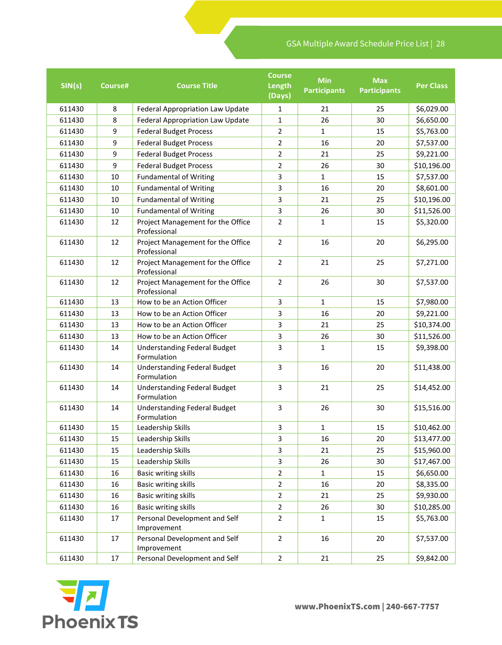| SIN(s) | Course# | <b>Course Title</b>                                | <b>Course</b><br>Length<br>(Days) | <b>Min</b><br><b>Participants</b> | <b>Max</b><br><b>Participants</b> | <b>Per Class</b> |
|--------|---------|----------------------------------------------------|-----------------------------------|-----------------------------------|-----------------------------------|------------------|
| 611430 | 8       | Federal Appropriation Law Update                   | 1                                 | 21                                | 25                                | \$6,029.00       |
| 611430 | 8       | <b>Federal Appropriation Law Update</b>            | 1                                 | 26                                | 30                                | \$6,650.00       |
| 611430 | 9       | <b>Federal Budget Process</b>                      | $\overline{2}$                    | $\mathbf{1}$                      | 15                                | \$5,763.00       |
| 611430 | 9       | <b>Federal Budget Process</b>                      | $\overline{2}$                    | 16                                | 20                                | \$7,537.00       |
| 611430 | 9       | <b>Federal Budget Process</b>                      | 2                                 | 21                                | 25                                | \$9,221.00       |
| 611430 | 9       | <b>Federal Budget Process</b>                      | $\overline{2}$                    | 26                                | 30                                | \$10,196.00      |
| 611430 | 10      | <b>Fundamental of Writing</b>                      | 3                                 | $\mathbf{1}$                      | 15                                | \$7,537.00       |
| 611430 | 10      | <b>Fundamental of Writing</b>                      | 3                                 | 16                                | 20                                | \$8,601.00       |
| 611430 | 10      | <b>Fundamental of Writing</b>                      | 3                                 | 21                                | 25                                | \$10,196.00      |
| 611430 | 10      | <b>Fundamental of Writing</b>                      | 3                                 | 26                                | 30                                | \$11,526.00      |
| 611430 | 12      | Project Management for the Office<br>Professional  | $\overline{2}$                    | $\mathbf{1}$                      | 15                                | \$5,320.00       |
| 611430 | 12      | Project Management for the Office<br>Professional  | $\overline{2}$                    | 16                                | 20                                | \$6,295.00       |
| 611430 | 12      | Project Management for the Office<br>Professional  | $\overline{2}$<br>21              |                                   | 25                                | \$7,271.00       |
| 611430 | 12      | Project Management for the Office<br>Professional  | $\overline{2}$<br>26              |                                   | 30                                | \$7,537.00       |
| 611430 | 13      | How to be an Action Officer                        | 3<br>$\mathbf{1}$                 |                                   | 15                                | \$7,980.00       |
| 611430 | 13      | How to be an Action Officer                        | 3                                 | 16                                | 20                                | \$9,221.00       |
| 611430 | 13      | How to be an Action Officer                        | 3                                 | 21                                | 25                                | \$10,374.00      |
| 611430 | 13      | How to be an Action Officer                        | 3                                 | 26                                | 30                                | \$11,526.00      |
| 611430 | 14      | <b>Understanding Federal Budget</b><br>Formulation | 3                                 | $\mathbf{1}$                      | 15                                | \$9,398.00       |
| 611430 | 14      | <b>Understanding Federal Budget</b><br>Formulation | 3                                 | 16                                | 20                                | \$11,438.00      |
| 611430 | 14      | <b>Understanding Federal Budget</b><br>Formulation | 3                                 | 21                                | 25                                | \$14,452.00      |
| 611430 | 14      | <b>Understanding Federal Budget</b><br>Formulation | 3                                 | 26                                | 30                                | \$15,516.00      |
| 611430 | 15      | Leadership Skills                                  | 3                                 | 1                                 | 15                                | \$10,462.00      |
| 611430 | 15      | Leadership Skills                                  | 3                                 | 16                                | 20                                | \$13,477.00      |
| 611430 | 15      | Leadership Skills                                  | 3                                 | 21                                | 25                                | \$15,960.00      |
| 611430 | 15      | Leadership Skills                                  | 3                                 | 26                                | 30                                | \$17,467.00      |
| 611430 | 16      | Basic writing skills                               | $\overline{2}$                    | $\mathbf{1}$                      | 15                                | \$6,650.00       |
| 611430 | 16      | <b>Basic writing skills</b>                        | $\overline{2}$                    | 16                                | 20                                | \$8,335.00       |
| 611430 | 16      | <b>Basic writing skills</b>                        | $\overline{2}$                    | 21                                | 25                                | \$9,930.00       |
| 611430 | 16      | <b>Basic writing skills</b>                        | $\overline{2}$                    | 26                                | 30                                | \$10,285.00      |
| 611430 | 17      | Personal Development and Self<br>Improvement       | $\overline{2}$                    | $\mathbf{1}$                      | 15                                | \$5,763.00       |
| 611430 | 17      | Personal Development and Self<br>Improvement       | $\overline{2}$                    | 16                                | 20                                | \$7,537.00       |
| 611430 | 17      | Personal Development and Self                      | $\overline{2}$                    | 21                                | 25                                | \$9,842.00       |

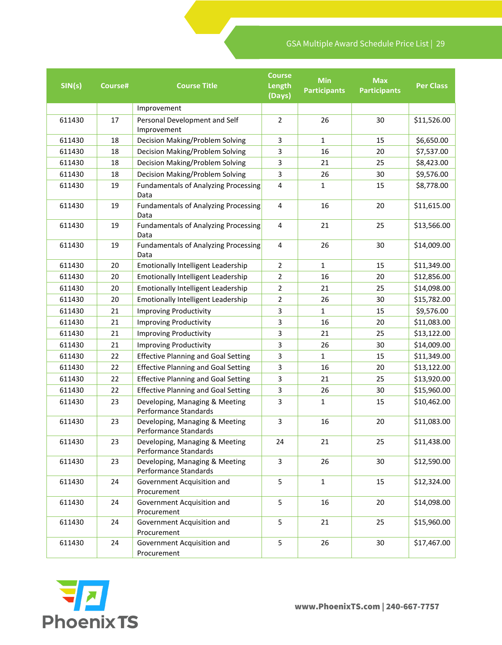| SIN(s) | Course# | <b>Course Title</b>                                     | <b>Course</b><br>Length<br>(Days) | <b>Min</b><br><b>Participants</b> | <b>Max</b><br><b>Participants</b> | <b>Per Class</b> |
|--------|---------|---------------------------------------------------------|-----------------------------------|-----------------------------------|-----------------------------------|------------------|
|        |         | Improvement                                             |                                   |                                   |                                   |                  |
| 611430 | 17      | Personal Development and Self<br>Improvement            | $\overline{2}$                    | 26                                | 30                                | \$11,526.00      |
| 611430 | 18      | Decision Making/Problem Solving                         | 3                                 | $\mathbf{1}$                      | 15                                | \$6,650.00       |
| 611430 | 18      | Decision Making/Problem Solving                         | 3                                 | 16                                | 20                                | \$7,537.00       |
| 611430 | 18      | Decision Making/Problem Solving                         | 3                                 | 21                                | 25                                | \$8,423.00       |
| 611430 | 18      | Decision Making/Problem Solving                         | 3                                 | 26                                | 30                                | \$9,576.00       |
| 611430 | 19      | <b>Fundamentals of Analyzing Processing</b><br>Data     | 4                                 | $\mathbf{1}$                      | 15                                | \$8,778.00       |
| 611430 | 19      | <b>Fundamentals of Analyzing Processing</b><br>Data     | 16<br>4                           |                                   | 20                                | \$11,615.00      |
| 611430 | 19      | <b>Fundamentals of Analyzing Processing</b><br>Data     | $\overline{4}$<br>21              |                                   | 25                                | \$13,566.00      |
| 611430 | 19      | <b>Fundamentals of Analyzing Processing</b><br>Data     | 26<br>4                           |                                   | 30                                | \$14,009.00      |
| 611430 | 20      | Emotionally Intelligent Leadership                      | $\mathbf{1}$<br>2                 |                                   | 15                                | \$11,349.00      |
| 611430 | 20      | Emotionally Intelligent Leadership                      | $\overline{2}$<br>16              |                                   | 20                                | \$12,856.00      |
| 611430 | 20      | Emotionally Intelligent Leadership                      | 2<br>21                           |                                   | 25                                | \$14,098.00      |
| 611430 | 20      | Emotionally Intelligent Leadership                      | $\overline{2}$<br>26              |                                   | 30                                | \$15,782.00      |
| 611430 | 21      | <b>Improving Productivity</b>                           | 3                                 | $\mathbf{1}$                      | 15                                | \$9,576.00       |
| 611430 | 21      | <b>Improving Productivity</b>                           | 3                                 | 16                                | 20                                | \$11,083.00      |
| 611430 | 21      | <b>Improving Productivity</b>                           | 3                                 | 21                                | 25                                | \$13,122.00      |
| 611430 | 21      | <b>Improving Productivity</b>                           | 3                                 | 26                                | 30                                | \$14,009.00      |
| 611430 | 22      | <b>Effective Planning and Goal Setting</b>              | 3                                 | $\mathbf{1}$                      | 15                                | \$11,349.00      |
| 611430 | 22      | <b>Effective Planning and Goal Setting</b>              | 3                                 | 16                                | 20                                | \$13,122.00      |
| 611430 | 22      | <b>Effective Planning and Goal Setting</b>              | 3                                 | 21                                | 25                                | \$13,920.00      |
| 611430 | 22      | <b>Effective Planning and Goal Setting</b>              | 3                                 | 26                                | 30                                | \$15,960.00      |
| 611430 | 23      | Developing, Managing & Meeting<br>Performance Standards | 3                                 | $\mathbf{1}$                      | 15                                | \$10,462.00      |
| 611430 | 23      | Developing, Managing & Meeting<br>Performance Standards | 3                                 | 16                                | 20                                | \$11,083.00      |
| 611430 | 23      | Developing, Managing & Meeting<br>Performance Standards | 24                                | 21                                | 25                                | \$11,438.00      |
| 611430 | 23      | Developing, Managing & Meeting<br>Performance Standards | 3                                 | 26                                | 30                                | \$12,590.00      |
| 611430 | 24      | Government Acquisition and<br>Procurement               | 5                                 | 1                                 | 15                                | \$12,324.00      |
| 611430 | 24      | Government Acquisition and<br>Procurement               | 5                                 | 16                                | 20                                | \$14,098.00      |
| 611430 | 24      | Government Acquisition and<br>Procurement               | 5                                 | 21                                | 25                                | \$15,960.00      |
| 611430 | 24      | Government Acquisition and<br>Procurement               | 5                                 | 26                                | 30                                | \$17,467.00      |

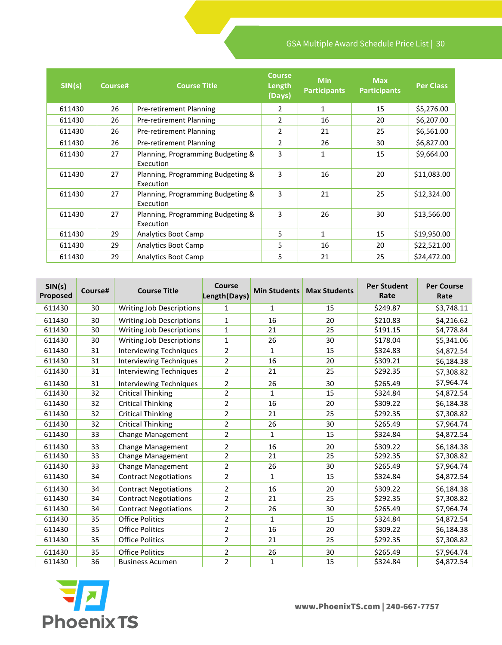| SIN(s) | Course# | <b>Course Title</b>                            | <b>Course</b><br>Length<br>(Days) | <b>Min</b><br><b>Participants</b> | <b>Max</b><br><b>Participants</b> | <b>Per Class</b> |
|--------|---------|------------------------------------------------|-----------------------------------|-----------------------------------|-----------------------------------|------------------|
| 611430 | 26      | Pre-retirement Planning                        | 2                                 | 1                                 | 15                                | \$5,276.00       |
| 611430 | 26      | Pre-retirement Planning                        | 2                                 | 16                                | 20                                | \$6,207.00       |
| 611430 | 26      | Pre-retirement Planning                        | 2                                 | 21                                | 25                                | \$6,561.00       |
| 611430 | 26      | Pre-retirement Planning                        | 2                                 | 26                                | 30                                | \$6,827.00       |
| 611430 | 27      | Planning, Programming Budgeting &<br>Execution | 3                                 | 1                                 | 15                                | \$9,664.00       |
| 611430 | 27      | Planning, Programming Budgeting &<br>Execution | 3                                 | 16                                | 20                                | \$11,083.00      |
| 611430 | 27      | Planning, Programming Budgeting &<br>Execution | 3                                 | 21                                | 25                                | \$12,324.00      |
| 611430 | 27      | Planning, Programming Budgeting &<br>Execution | 3                                 | 26                                | 30                                | \$13,566.00      |
| 611430 | 29      | Analytics Boot Camp                            | 5                                 | 1                                 | 15                                | \$19,950.00      |
| 611430 | 29      | <b>Analytics Boot Camp</b>                     | 5                                 | 16                                | 20                                | \$22,521.00      |
| 611430 | 29      | <b>Analytics Boot Camp</b>                     | 5                                 | 21                                | 25                                | \$24,472.00      |

| SIN(s)<br>Proposed | Course# | <b>Course Title</b>             | <b>Course</b><br>Length(Days) | <b>Min Students</b> | <b>Max Students</b> | <b>Per Student</b><br>Rate | <b>Per Course</b><br>Rate |
|--------------------|---------|---------------------------------|-------------------------------|---------------------|---------------------|----------------------------|---------------------------|
| 611430             | 30      | <b>Writing Job Descriptions</b> | 1                             | $\mathbf{1}$        | 15                  | \$249.87                   | \$3,748.11                |
| 611430             | 30      | <b>Writing Job Descriptions</b> | 1                             | 16                  | 20                  | \$210.83                   | \$4,216.62                |
| 611430             | 30      | <b>Writing Job Descriptions</b> | $\mathbf{1}$                  | 21                  | \$191.15<br>25      |                            | \$4,778.84                |
| 611430             | 30      | <b>Writing Job Descriptions</b> | 1                             | 26                  | 30                  | \$178.04                   | \$5,341.06                |
| 611430             | 31      | <b>Interviewing Techniques</b>  | $\overline{2}$                | $\mathbf{1}$        | 15                  | \$324.83                   | \$4,872.54                |
| 611430             | 31      | Interviewing Techniques         | $\overline{2}$                | 16                  | 20                  | \$309.21                   | \$6,184.38                |
| 611430             | 31      | Interviewing Techniques         | 2                             | 21                  | 25                  | \$292.35                   | \$7,308.82                |
| 611430             | 31      | Interviewing Techniques         | 2                             | 26                  | \$265.49<br>30      |                            | \$7,964.74                |
| 611430             | 32      | <b>Critical Thinking</b>        | $\overline{2}$                | $\mathbf{1}$        | 15                  | \$324.84                   | \$4,872.54                |
| 611430             | 32      | <b>Critical Thinking</b>        | $\overline{2}$                | 16                  | 20                  | \$309.22                   | \$6,184.38                |
| 611430             | 32      | <b>Critical Thinking</b>        | $\overline{2}$                | 21                  | 25                  | \$292.35                   | \$7,308.82                |
| 611430             | 32      | <b>Critical Thinking</b>        | $\overline{2}$                | 26                  | 30                  | \$265.49                   | \$7,964.74                |
| 611430             | 33      | <b>Change Management</b>        | $\overline{2}$                | $\mathbf{1}$        | 15                  | \$324.84                   | \$4,872.54                |
| 611430             | 33      | Change Management               | $\overline{2}$                | 16                  | 20                  | \$309.22                   | \$6,184.38                |
| 611430             | 33      | <b>Change Management</b>        | $\overline{2}$                | 21                  | 25                  | \$292.35                   | \$7,308.82                |
| 611430             | 33      | <b>Change Management</b>        | $\overline{2}$                | 26                  | 30                  | \$265.49                   | \$7,964.74                |
| 611430             | 34      | <b>Contract Negotiations</b>    | $\overline{2}$                | $\mathbf{1}$        | 15                  | \$324.84                   | \$4,872.54                |
| 611430             | 34      | <b>Contract Negotiations</b>    | 2                             | 16                  | 20                  | \$309.22                   | \$6,184.38                |
| 611430             | 34      | <b>Contract Negotiations</b>    | $\overline{2}$                | 21                  | 25                  | \$292.35                   | \$7,308.82                |
| 611430             | 34      | <b>Contract Negotiations</b>    | $\overline{2}$                | 26                  | 30                  | \$265.49                   | \$7,964.74                |
| 611430             | 35      | <b>Office Politics</b>          | $\overline{2}$                | $\mathbf{1}$        | 15                  | \$324.84                   | \$4,872.54                |
| 611430             | 35      | <b>Office Politics</b>          | $\overline{2}$                | 16                  | 20                  | \$309.22                   | \$6,184.38                |
| 611430             | 35      | <b>Office Politics</b>          | $\overline{2}$                | 21                  | 25                  | \$292.35                   | \$7,308.82                |
| 611430             | 35      | <b>Office Politics</b>          | 2                             | 26                  | 30                  | \$265.49                   | \$7,964.74                |
| 611430             | 36      | <b>Business Acumen</b>          | $\overline{2}$                | $\mathbf{1}$        | 15                  | \$324.84                   | \$4,872.54                |

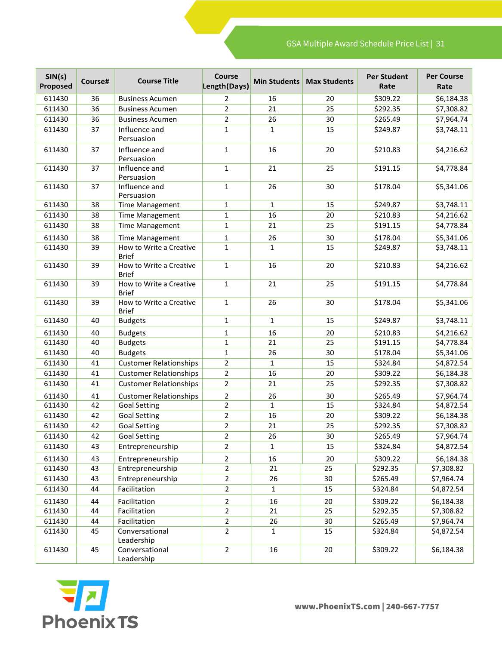| SIN(s)<br>Proposed | Course# | <b>Course Title</b>                     | Course<br>Length(Days) | <b>Min Students</b> | <b>Max Students</b> | <b>Per Student</b><br>Rate | <b>Per Course</b><br>Rate |
|--------------------|---------|-----------------------------------------|------------------------|---------------------|---------------------|----------------------------|---------------------------|
| 611430             | 36      | <b>Business Acumen</b>                  | $\overline{2}$         | 16                  | 20                  | \$309.22                   | \$6,184.38                |
| 611430             | 36      | <b>Business Acumen</b>                  | $\overline{2}$         | 21                  | 25                  | \$292.35                   | \$7,308.82                |
| 611430             | 36      | <b>Business Acumen</b>                  | $\overline{2}$         | 26                  | 30                  | \$265.49                   | \$7,964.74                |
| 611430             | 37      | Influence and<br>Persuasion             | $\mathbf{1}$           | $\mathbf{1}$        | 15                  | \$249.87                   | \$3,748.11                |
| 611430             | 37      | Influence and<br>Persuasion             | $\mathbf{1}$           | 16                  | 20                  | \$210.83                   | \$4,216.62                |
| 611430             | 37      | Influence and<br>Persuasion             | $\mathbf{1}$           | 21                  | 25                  | \$191.15                   | \$4,778.84                |
| 611430             | 37      | Influence and<br>Persuasion             | $\mathbf{1}$           | 26                  | 30                  | \$178.04                   | \$5,341.06                |
| 611430             | 38      | <b>Time Management</b>                  | $\mathbf{1}$           | $\mathbf{1}$        | 15                  | \$249.87                   | \$3,748.11                |
| 611430             | 38      | <b>Time Management</b>                  | $\mathbf{1}$           | 16                  | 20                  | \$210.83                   | \$4,216.62                |
| 611430             | 38      | <b>Time Management</b>                  | $\mathbf{1}$           | 21                  | 25                  | \$191.15                   | \$4,778.84                |
| 611430             | 38      | <b>Time Management</b>                  | 1                      | 26                  | 30                  | \$178.04                   | \$5,341.06                |
| 611430             | 39      | How to Write a Creative<br><b>Brief</b> | $\mathbf{1}$           | $\mathbf{1}$        | 15                  | \$249.87                   | \$3,748.11                |
| 611430             | 39      | How to Write a Creative<br><b>Brief</b> | $\mathbf{1}$           | 16                  | 20                  | \$210.83                   | \$4,216.62                |
| 611430             | 39      | How to Write a Creative<br><b>Brief</b> | $\mathbf{1}$           | 21                  | 25                  | \$191.15                   | \$4,778.84                |
| 611430             | 39      | How to Write a Creative<br><b>Brief</b> | $\mathbf{1}$           | 26                  | 30                  | \$178.04                   | \$5,341.06                |
| 611430             | 40      | <b>Budgets</b>                          | $\mathbf{1}$           | $\mathbf{1}$        | 15                  | \$249.87                   | \$3,748.11                |
| 611430             | 40      | <b>Budgets</b>                          | 1                      | 16                  | 20                  | \$210.83                   | \$4,216.62                |
| 611430             | 40      | <b>Budgets</b>                          | $\mathbf 1$            | 21                  | 25                  | \$191.15                   | \$4,778.84                |
| 611430             | 40      | <b>Budgets</b>                          | $\mathbf{1}$           | 26                  | 30                  | \$178.04                   | \$5,341.06                |
| 611430             | 41      | <b>Customer Relationships</b>           | $\overline{2}$         | $\mathbf{1}$        | 15                  | \$324.84                   | \$4,872.54                |
| 611430             | 41      | <b>Customer Relationships</b>           | $\overline{2}$         | 16                  | 20                  | \$309.22                   | \$6,184.38                |
| 611430             | 41      | <b>Customer Relationships</b>           | $\overline{2}$         | 21                  | 25                  | \$292.35                   | \$7,308.82                |
| 611430             | 41      | <b>Customer Relationships</b>           | $\overline{2}$         | 26                  | 30                  | \$265.49                   | \$7,964.74                |
| 611430             | 42      | <b>Goal Setting</b>                     | $\overline{2}$         | $\mathbf{1}$        | 15                  | \$324.84                   | \$4,872.54                |
| 611430             | 42      | <b>Goal Setting</b>                     | $\overline{2}$         | 16                  | 20                  | \$309.22                   | \$6,184.38                |
| 611430             | 42      | <b>Goal Setting</b>                     | 2                      | 21                  | 25                  | \$292.35                   | \$7,308.82                |
| 611430             | 42      | <b>Goal Setting</b>                     | $\overline{2}$         | 26                  | 30                  | \$265.49                   | \$7,964.74                |
| 611430             | 43      | Entrepreneurship                        | $\overline{2}$         | $\mathbf{1}$        | 15                  | \$324.84                   | \$4,872.54                |
| 611430             | 43      | Entrepreneurship                        | $\overline{2}$         | 16                  | 20                  | \$309.22                   | \$6,184.38                |
| 611430             | 43      | Entrepreneurship                        | $\overline{2}$         | 21                  | 25                  | \$292.35                   | \$7,308.82                |
| 611430             | 43      | Entrepreneurship                        | $\overline{2}$         | 26                  | 30                  | \$265.49                   | \$7,964.74                |
| 611430             | 44      | Facilitation                            | $\overline{2}$         | $\mathbf{1}$        | 15                  | \$324.84                   | \$4,872.54                |
| 611430             | 44      | Facilitation                            | 2                      | 16                  | 20                  | \$309.22                   | \$6,184.38                |
| 611430             | 44      | Facilitation                            | $\overline{2}$         | 21                  | 25                  | \$292.35                   | \$7,308.82                |
| 611430             | 44      | Facilitation                            | $\overline{2}$         | 26                  | 30                  | \$265.49                   | \$7,964.74                |
| 611430             | 45      | Conversational<br>Leadership            | $\overline{2}$         | $\mathbf{1}$        | 15                  | \$324.84                   | \$4,872.54                |
| 611430             | 45      | Conversational<br>Leadership            | $\overline{2}$         | 16                  | 20                  | \$309.22                   | \$6,184.38                |

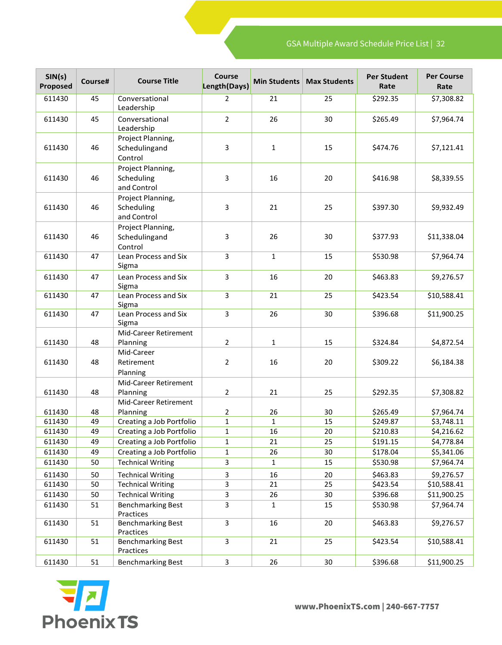| SIN(s)<br>Proposed | Course#  | <b>Course Title</b>                            | Course<br>Length(Days) | <b>Min Students</b> | <b>Max Students</b> | <b>Per Student</b><br>Rate | <b>Per Course</b><br>Rate |
|--------------------|----------|------------------------------------------------|------------------------|---------------------|---------------------|----------------------------|---------------------------|
| 611430             | 45       | Conversational<br>Leadership                   | $\overline{2}$         | 21                  | 25                  | \$292.35                   | \$7,308.82                |
| 611430             | 45       | Conversational<br>Leadership                   | $\overline{2}$         | 26                  | 30                  | \$265.49                   | \$7,964.74                |
| 611430             | 46       | Project Planning,<br>Schedulingand<br>Control  | 3                      | $\mathbf{1}$        | 15                  | \$474.76                   | \$7,121.41                |
| 611430             | 46       | Project Planning,<br>Scheduling<br>and Control | 3                      | 16                  | 20                  | \$416.98                   | \$8,339.55                |
| 611430             | 46       | Project Planning,<br>Scheduling<br>and Control | 3                      | 21                  | 25                  | \$397.30                   | \$9,932.49                |
| 611430             | 46       | Project Planning,<br>Schedulingand<br>Control  | 3                      | 26                  | 30                  | \$377.93                   | \$11,338.04               |
| 611430             | 47       | Lean Process and Six<br>Sigma                  | 3                      | $\mathbf{1}$        | 15                  | \$530.98                   | \$7,964.74                |
| 611430             | 47       | Lean Process and Six<br>Sigma                  | $\mathbf{3}$           | 16                  | 20                  | \$463.83                   | \$9,276.57                |
| 611430             | 47       | Lean Process and Six<br>Sigma                  | 3                      | 21                  | 25                  | \$423.54                   | \$10,588.41               |
| 611430             | 47       | Lean Process and Six<br>Sigma                  | 3                      | 26                  | 30                  | \$396.68                   | \$11,900.25               |
| 611430             | 48       | Mid-Career Retirement<br>Planning              | $\overline{2}$         | $\mathbf{1}$        | 15                  | \$324.84                   | \$4,872.54                |
| 611430             | 48       | Mid-Career<br>Retirement<br>Planning           | $\overline{2}$         | 16                  | 20                  | \$309.22                   | \$6,184.38                |
| 611430             | 48       | Mid-Career Retirement<br>Planning              | $\overline{2}$         | 21                  | 25                  | \$292.35                   | \$7,308.82                |
|                    |          | Mid-Career Retirement                          |                        |                     |                     |                            |                           |
| 611430<br>611430   | 48<br>49 | Planning<br>Creating a Job Portfolio           | 2<br>$\mathbf 1$       | 26<br>1             | 30<br>15            | \$265.49<br>\$249.87       | \$7,964.74<br>\$3,748.11  |
| 611430             | 49       | Creating a Job Portfolio                       | 1                      | 16                  | 20                  | \$210.83                   | \$4,216.62                |
| 611430             | 49       | Creating a Job Portfolio                       | 1                      | 21                  | 25                  | \$191.15                   | \$4,778.84                |
| 611430             | 49       | Creating a Job Portfolio                       | $\mathbf{1}$           | 26                  | 30                  | \$178.04                   | \$5,341.06                |
| 611430             | 50       | <b>Technical Writing</b>                       | 3                      | $\mathbf{1}$        | 15                  | \$530.98                   | \$7,964.74                |
| 611430             |          | <b>Technical Writing</b>                       |                        |                     |                     | \$463.83                   |                           |
| 611430             | 50<br>50 | <b>Technical Writing</b>                       | 3<br>3                 | 16<br>21            | 20<br>25            | \$423.54                   | \$9,276.57<br>\$10,588.41 |
| 611430             | 50       | <b>Technical Writing</b>                       | 3                      | 26                  | 30                  | \$396.68                   | \$11,900.25               |
| 611430             | 51       | <b>Benchmarking Best</b><br>Practices          | 3                      | $\mathbf{1}$        | 15                  | \$530.98                   | \$7,964.74                |
| 611430             | 51       | <b>Benchmarking Best</b><br>Practices          | $\overline{3}$         | 16                  | 20                  | \$463.83                   | \$9,276.57                |
| 611430             | 51       | <b>Benchmarking Best</b><br>Practices          | $\mathbf{3}$           | 21                  | 25                  | \$423.54                   | \$10,588.41               |
| 611430             | 51       | <b>Benchmarking Best</b>                       | $\mathbf{3}$           | 26                  | $30\,$              | \$396.68                   | \$11,900.25               |

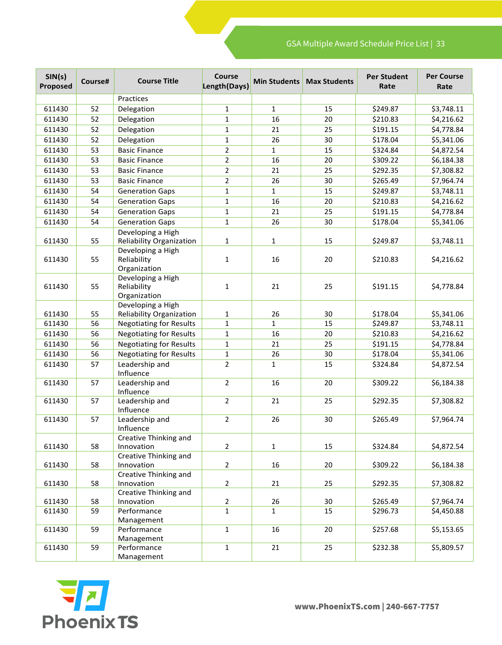| SIN(s)<br>Proposed | Course# | <b>Course Title</b>             | Course<br>Length(Days) | <b>Min Students</b> | <b>Max Students</b> | <b>Per Student</b><br>Rate | <b>Per Course</b><br>Rate |
|--------------------|---------|---------------------------------|------------------------|---------------------|---------------------|----------------------------|---------------------------|
|                    |         | Practices                       |                        |                     |                     |                            |                           |
| 611430             | 52      | Delegation                      | $\mathbf{1}$           | $\mathbf{1}$        | 15                  | \$249.87                   | \$3,748.11                |
| 611430             | 52      | Delegation                      | $\mathbf 1$            | 16                  | 20                  | \$210.83                   | \$4,216.62                |
| 611430             | 52      | Delegation                      | $\mathbf{1}$           | 21                  | 25                  | \$191.15                   | \$4,778.84                |
| 611430             | 52      | Delegation                      | $\mathbf{1}$           | 26                  | 30                  | \$178.04                   | \$5,341.06                |
| 611430             | 53      | <b>Basic Finance</b>            | $\overline{2}$         | $\mathbf{1}$        | 15                  | \$324.84                   | \$4,872.54                |
| 611430             | 53      | <b>Basic Finance</b>            | $\overline{2}$         | 16                  | 20                  | \$309.22                   | \$6,184.38                |
| 611430             | 53      | <b>Basic Finance</b>            | $\overline{2}$         | 21                  | 25                  | \$292.35                   | \$7,308.82                |
| 611430             | 53      | <b>Basic Finance</b>            | $\overline{2}$         | 26                  | 30                  | \$265.49                   | \$7,964.74                |
| 611430             | 54      | <b>Generation Gaps</b>          | $\mathbf 1$            | $\mathbf{1}$        | 15                  | \$249.87                   | \$3,748.11                |
| 611430             | 54      | <b>Generation Gaps</b>          | $\mathbf{1}$           | 16                  | 20                  | \$210.83                   | \$4,216.62                |
| 611430             | 54      | <b>Generation Gaps</b>          | $\mathbf 1$            | 21                  | 25                  | \$191.15                   | \$4,778.84                |
| 611430             | 54      | <b>Generation Gaps</b>          | $\mathbf{1}$           | 26                  | 30                  | \$178.04                   | \$5,341.06                |
|                    |         | Developing a High               |                        |                     |                     |                            |                           |
| 611430             | 55      | <b>Reliability Organization</b> | $\mathbf{1}$           | $\mathbf{1}$        | 15                  | \$249.87                   | \$3,748.11                |
|                    |         | Developing a High               |                        |                     |                     |                            |                           |
| 611430             | 55      | Reliability                     | $\mathbf{1}$           | 16                  | 20                  | \$210.83                   | \$4,216.62                |
|                    |         | Organization                    |                        |                     |                     |                            |                           |
|                    |         | Developing a High               |                        |                     |                     |                            |                           |
| 611430             | 55      | Reliability                     | $\mathbf{1}$           | 21                  | 25                  | \$191.15                   | \$4,778.84                |
|                    |         | Organization                    |                        |                     |                     |                            |                           |
|                    |         | Developing a High               |                        |                     |                     |                            |                           |
| 611430             | 55      | Reliability Organization        | $\mathbf{1}$           | 26                  | 30                  | \$178.04                   | \$5,341.06                |
| 611430             | 56      | <b>Negotiating for Results</b>  | $\mathbf{1}$           | $\mathbf{1}$        | 15                  | \$249.87                   | \$3,748.11                |
| 611430             | 56      | <b>Negotiating for Results</b>  | $\mathbf{1}$           | 16                  | 20                  | \$210.83                   | \$4,216.62                |
| 611430             | 56      | <b>Negotiating for Results</b>  | $\mathbf{1}$           | 21                  | 25                  | \$191.15                   | \$4,778.84                |
| 611430             | 56      | <b>Negotiating for Results</b>  | $\mathbf 1$            | 26                  | 30                  | \$178.04                   | \$5,341.06                |
| 611430             | 57      | Leadership and                  | $\overline{2}$         | $\mathbf{1}$        | 15                  | \$324.84                   | \$4,872.54                |
|                    |         | Influence                       |                        |                     |                     |                            |                           |
| 611430             | 57      | Leadership and                  | $\overline{2}$         | 16                  | 20                  | \$309.22                   | \$6,184.38                |
|                    |         | Influence                       |                        |                     |                     |                            |                           |
| 611430             | 57      | Leadership and<br>Influence     | $\overline{2}$         | 21                  | 25                  | \$292.35                   | \$7,308.82                |
| 611430             | 57      | Leadership and                  | $\overline{2}$         | 26                  | 30                  | \$265.49                   | \$7,964.74                |
|                    |         | Influence                       |                        |                     |                     |                            |                           |
|                    |         | Creative Thinking and           |                        |                     |                     |                            |                           |
| 611430             | 58      | Innovation                      | $\overline{2}$         | $\mathbf{1}$        | 15                  | \$324.84                   | \$4,872.54                |
|                    |         | Creative Thinking and           |                        |                     |                     |                            |                           |
| 611430             | 58      | Innovation                      | $\overline{2}$         | 16                  | 20                  | \$309.22                   | \$6,184.38                |
|                    |         | Creative Thinking and           |                        |                     |                     |                            |                           |
| 611430             | 58      | Innovation                      | $\overline{2}$         | 21                  | 25                  | \$292.35                   | \$7,308.82                |
|                    |         | Creative Thinking and           |                        |                     |                     |                            |                           |
| 611430             | 58      | Innovation                      | $\overline{c}$         | 26                  | $30\,$              | \$265.49                   | \$7,964.74                |
| 611430             | 59      | Performance                     | $\mathbf{1}$           | $\mathbf{1}$        | 15                  | \$296.73                   | \$4,450.88                |
|                    |         | Management                      | $\mathbf{1}$           |                     |                     |                            |                           |
| 611430             | 59      | Performance                     |                        | 16                  | 20                  | \$257.68                   | \$5,153.65                |
| 611430             | 59      | Management<br>Performance       | $\mathbf{1}$           | 21                  | 25                  | \$232.38                   | \$5,809.57                |
|                    |         | Management                      |                        |                     |                     |                            |                           |

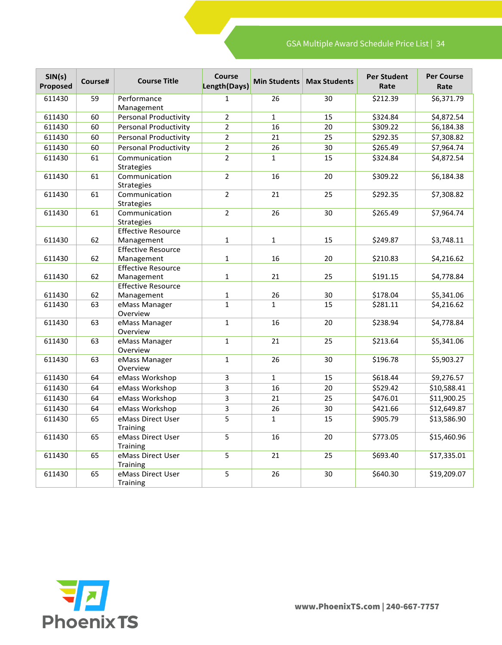| SIN(s)<br>Proposed | Course# | <b>Course Title</b>                     | <b>Course</b><br>Length(Days) | <b>Min Students</b> | <b>Max Students</b> | <b>Per Student</b><br>Rate | <b>Per Course</b><br>Rate |
|--------------------|---------|-----------------------------------------|-------------------------------|---------------------|---------------------|----------------------------|---------------------------|
| 611430             | 59      | Performance<br>Management               | $\mathbf{1}$                  | 26                  | 30                  | \$212.39                   | \$6,371.79                |
| 611430             | 60      | Personal Productivity                   | $\overline{2}$                | $\mathbf{1}$        | 15                  | \$324.84                   | \$4,872.54                |
| 611430             | 60      | <b>Personal Productivity</b>            | $\overline{2}$                | 16                  | 20                  | \$309.22                   | \$6,184.38                |
| 611430             | 60      | <b>Personal Productivity</b>            | $\overline{2}$                | 21                  | 25                  | \$292.35                   | \$7,308.82                |
| 611430             | 60      | <b>Personal Productivity</b>            | $\overline{2}$                | 26                  | 30                  | \$265.49                   | \$7,964.74                |
| 611430             | 61      | Communication<br><b>Strategies</b>      | $\overline{2}$                | $\mathbf{1}$        | 15                  | \$324.84                   | \$4,872.54                |
| 611430             | 61      | Communication<br>Strategies             | $\overline{2}$                | 16                  | 20                  | \$309.22                   | \$6,184.38                |
| 611430             | 61      | Communication<br><b>Strategies</b>      | $\overline{2}$                | 21                  | 25                  | \$292.35                   | \$7,308.82                |
| 611430             | 61      | Communication<br><b>Strategies</b>      | $\overline{2}$                | 26                  | 30                  | \$265.49                   | \$7,964.74                |
| 611430             | 62      | <b>Effective Resource</b><br>Management | $\mathbf{1}$                  | $\mathbf{1}$        | 15                  | \$249.87                   | \$3,748.11                |
| 611430             | 62      | <b>Effective Resource</b><br>Management | $\mathbf 1$                   | 16                  | 20                  | \$210.83                   | \$4,216.62                |
| 611430             | 62      | <b>Effective Resource</b><br>Management | $\mathbf{1}$                  | 21                  | 25                  | \$191.15                   | \$4,778.84                |
| 611430             | 62      | <b>Effective Resource</b><br>Management | $\mathbf{1}$                  | 26                  | 30                  | \$178.04                   | \$5,341.06                |
| 611430             | 63      | eMass Manager                           | $\mathbf{1}$                  | $\mathbf{1}$        | 15                  | \$281.11                   | \$4,216.62                |
|                    |         | Overview                                |                               |                     |                     |                            |                           |
| 611430             | 63      | eMass Manager<br>Overview               | $\mathbf{1}$                  | 16                  | 20                  | \$238.94                   | \$4,778.84                |
| 611430             | 63      | eMass Manager<br>Overview               | $\mathbf 1$                   | 21                  | 25                  | \$213.64                   | \$5,341.06                |
| 611430             | 63      | eMass Manager<br>Overview               | $\mathbf{1}$                  | 26                  | 30                  | \$196.78                   | \$5,903.27                |
| 611430             | 64      | eMass Workshop                          | $\overline{3}$                | $\mathbf{1}$        | 15                  | \$618.44                   | \$9,276.57                |
| 611430             | 64      | eMass Workshop                          | $\overline{3}$                | 16                  | 20                  | \$529.42                   | \$10,588.41               |
| 611430             | 64      | eMass Workshop                          | $\overline{3}$                | 21                  | 25                  | \$476.01                   | \$11,900.25               |
| 611430             | 64      | eMass Workshop                          | 3                             | 26                  | 30                  | \$421.66                   | \$12,649.87               |
| 611430             | 65      | eMass Direct User<br>Training           | 5                             | $\mathbf{1}$        | 15                  | \$905.79                   | \$13,586.90               |
| 611430             | 65      | eMass Direct User<br>Training           | 5                             | 16                  | 20                  | \$773.05                   | \$15,460.96               |
| 611430             | 65      | eMass Direct User<br>Training           | 5                             | 21                  | 25                  | \$693.40                   | \$17,335.01               |
| 611430             | 65      | eMass Direct User<br>Training           | 5                             | 26                  | 30                  | \$640.30                   | \$19,209.07               |

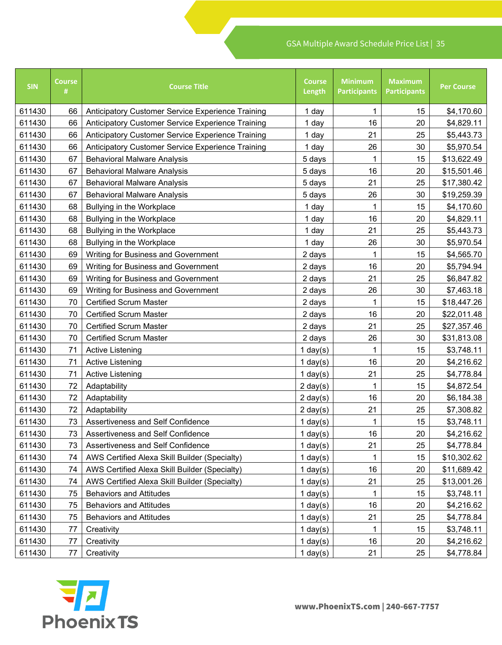| <b>SIN</b> | <b>Course</b><br># | <b>Course Title</b>                               | <b>Course</b><br>Length | <b>Minimum</b><br><b>Participants</b> | <b>Maximum</b><br><b>Participants</b> | <b>Per Course</b> |
|------------|--------------------|---------------------------------------------------|-------------------------|---------------------------------------|---------------------------------------|-------------------|
| 611430     | 66                 | Anticipatory Customer Service Experience Training | 1 day                   | 1                                     | 15                                    | \$4,170.60        |
| 611430     | 66                 | Anticipatory Customer Service Experience Training | 1 day                   | 16                                    | 20                                    | \$4,829.11        |
| 611430     | 66                 | Anticipatory Customer Service Experience Training | 1 day                   | 21                                    | 25                                    | \$5,443.73        |
| 611430     | 66                 | Anticipatory Customer Service Experience Training | 1 day                   | 26                                    | 30                                    | \$5,970.54        |
| 611430     | 67                 | <b>Behavioral Malware Analysis</b>                | 5 days                  | 1                                     | 15                                    | \$13,622.49       |
| 611430     | 67                 | <b>Behavioral Malware Analysis</b>                | 5 days                  | 16                                    | 20                                    | \$15,501.46       |
| 611430     | 67                 | <b>Behavioral Malware Analysis</b>                | 5 days                  | 21                                    | 25                                    | \$17,380.42       |
| 611430     | 67                 | <b>Behavioral Malware Analysis</b>                | 5 days                  | 26                                    | 30                                    | \$19,259.39       |
| 611430     | 68                 | Bullying in the Workplace                         |                         | 1                                     | 15                                    | \$4,170.60        |
| 611430     | 68                 | Bullying in the Workplace                         | 1 day                   | 16                                    | 20                                    | \$4,829.11        |
| 611430     | 68                 | Bullying in the Workplace                         | 1 day                   | 21                                    | 25                                    | \$5,443.73        |
| 611430     | 68                 | Bullying in the Workplace                         | 1 day                   | 26                                    | 30                                    | \$5,970.54        |
| 611430     | 69                 | Writing for Business and Government               | 2 days                  | 1                                     | 15                                    | \$4,565.70        |
| 611430     | 69                 | Writing for Business and Government               | 2 days                  | 16                                    | 20                                    | \$5,794.94        |
| 611430     | 69                 | Writing for Business and Government               | 2 days                  | 21                                    | 25                                    | \$6,847.82        |
| 611430     | 69                 | Writing for Business and Government               | 2 days                  | 26                                    | 30                                    | \$7,463.18        |
| 611430     | 70                 | <b>Certified Scrum Master</b>                     | 2 days                  | 1                                     | 15                                    | \$18,447.26       |
| 611430     | 70                 | <b>Certified Scrum Master</b>                     | 2 days                  | 16                                    | 20                                    | \$22,011.48       |
| 611430     | 70                 | <b>Certified Scrum Master</b>                     | 2 days                  | 21                                    | 25                                    | \$27,357.46       |
| 611430     | 70                 | <b>Certified Scrum Master</b>                     | 2 days                  | 26                                    | 30                                    | \$31,813.08       |
| 611430     | 71                 | <b>Active Listening</b>                           | 1 day $(s)$             | 1                                     | 15                                    | \$3,748.11        |
| 611430     | 71                 | <b>Active Listening</b>                           | 1 day $(s)$             | 16                                    | 20                                    | \$4,216.62        |
| 611430     | 71                 | <b>Active Listening</b>                           | 1 day $(s)$             | 21                                    | 25                                    | \$4,778.84        |
| 611430     | 72                 | Adaptability                                      | $2 \text{ day}(s)$      | 1                                     | 15                                    | \$4,872.54        |
| 611430     | 72                 | Adaptability                                      | $2 \text{ day}(s)$      | 16                                    | 20                                    | \$6,184.38        |
| 611430     | 72                 | Adaptability                                      | $2 \text{ day}(s)$      | 21                                    | 25                                    | \$7,308.82        |
| 611430     | 73                 | Assertiveness and Self Confidence                 | $1$ day(s)              | 1                                     | 15                                    | \$3,748.11        |
| 611430     | 73                 | Assertiveness and Self Confidence                 | 1 day $(s)$             | 16                                    | 20                                    | \$4,216.62        |
| 611430     | 73                 | Assertiveness and Self Confidence                 | 1 day $(s)$             | 21                                    | 25                                    | \$4,778.84        |
| 611430     | 74                 | AWS Certified Alexa Skill Builder (Specialty)     | 1 day $(s)$             | 1                                     | 15                                    | \$10,302.62       |
| 611430     | 74                 | AWS Certified Alexa Skill Builder (Specialty)     | 1 day $(s)$             | 16                                    | 20                                    | \$11,689.42       |
| 611430     | 74                 | AWS Certified Alexa Skill Builder (Specialty)     | 1 day $(s)$             | 21                                    | 25                                    | \$13,001.26       |
| 611430     | 75                 | <b>Behaviors and Attitudes</b>                    | 1 day $(s)$             | 1                                     | 15                                    | \$3,748.11        |
| 611430     | 75                 | <b>Behaviors and Attitudes</b>                    | 1 day $(s)$             | 16                                    | 20                                    | \$4,216.62        |
| 611430     | 75                 | <b>Behaviors and Attitudes</b>                    | 1 day $(s)$             | 21                                    | 25                                    | \$4,778.84        |
| 611430     | 77                 | Creativity                                        | 1 day $(s)$             | 1                                     | 15                                    | \$3,748.11        |
| 611430     | 77                 | Creativity                                        | 1 day $(s)$             | 16                                    | 20                                    | \$4,216.62        |
| 611430     | 77                 | Creativity                                        | $1$ day $(s)$           | 21                                    | 25                                    | \$4,778.84        |

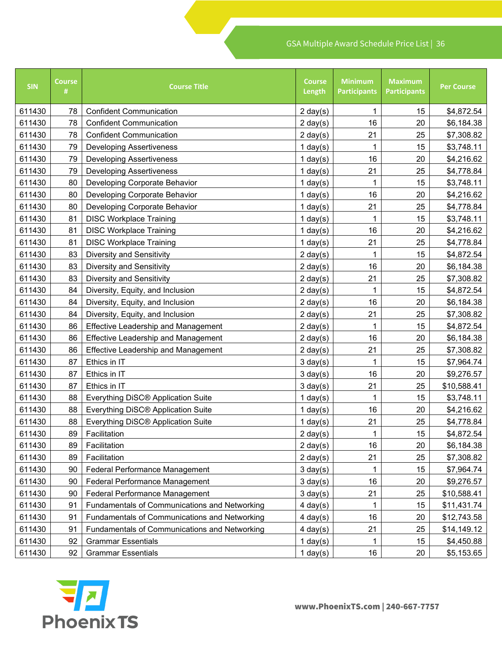| <b>SIN</b> | <b>Course</b><br># | <b>Course Title</b>                           | <b>Course</b><br>Length | <b>Minimum</b><br><b>Participants</b> | <b>Maximum</b><br><b>Participants</b> | <b>Per Course</b> |
|------------|--------------------|-----------------------------------------------|-------------------------|---------------------------------------|---------------------------------------|-------------------|
| 611430     | 78                 | <b>Confident Communication</b>                | $2 \text{ day}(s)$      | 1                                     | 15                                    | \$4,872.54        |
| 611430     | 78                 | <b>Confident Communication</b>                | $2 \text{ day}(s)$      | 16                                    | 20                                    | \$6,184.38        |
| 611430     | 78                 | <b>Confident Communication</b>                | $2 \text{ day}(s)$      | 21                                    | 25                                    | \$7,308.82        |
| 611430     | 79                 | <b>Developing Assertiveness</b>               | 1 day $(s)$             | 1                                     | 15                                    | \$3,748.11        |
| 611430     | 79                 | <b>Developing Assertiveness</b>               | 1 day $(s)$             | 16                                    | 20                                    | \$4,216.62        |
| 611430     | 79                 | <b>Developing Assertiveness</b>               | 1 day $(s)$             | 21                                    | 25                                    | \$4,778.84        |
| 611430     | 80                 | Developing Corporate Behavior                 | $1$ day $(s)$           | 1                                     | 15                                    | \$3,748.11        |
| 611430     | 80                 | Developing Corporate Behavior                 | 1 day $(s)$             | 16                                    | 20                                    | \$4,216.62        |
| 611430     | 80                 | Developing Corporate Behavior                 | 1 day $(s)$             | 21                                    | 25                                    | \$4,778.84        |
| 611430     | 81                 | <b>DISC Workplace Training</b>                | 1 day $(s)$             | 1                                     | 15                                    | \$3,748.11        |
| 611430     | 81                 | <b>DISC Workplace Training</b>                | $1$ day $(s)$           | 16                                    | 20                                    | \$4,216.62        |
| 611430     | 81                 | <b>DISC Workplace Training</b>                | 1 day $(s)$             | 21                                    | 25                                    | \$4,778.84        |
| 611430     | 83                 | <b>Diversity and Sensitivity</b>              | $2 \text{ day}(s)$      | 1                                     | 15                                    | \$4,872.54        |
| 611430     | 83                 | <b>Diversity and Sensitivity</b>              | $2 \text{ day}(s)$      | 16                                    | 20                                    | \$6,184.38        |
| 611430     | 83                 | Diversity and Sensitivity                     | $2 \text{ day}(s)$      | 21                                    | 25                                    | \$7,308.82        |
| 611430     | 84                 | Diversity, Equity, and Inclusion              | $2 \text{ day}(s)$      | 1                                     | 15                                    | \$4,872.54        |
| 611430     | 84                 | Diversity, Equity, and Inclusion              | $2 \text{ day}(s)$      | 16                                    | 20                                    | \$6,184.38        |
| 611430     | 84                 | Diversity, Equity, and Inclusion              | $2 \text{ day}(s)$      | 21                                    | 25                                    | \$7,308.82        |
| 611430     | 86                 | <b>Effective Leadership and Management</b>    | $2 \text{ day}(s)$      | 1                                     | 15                                    | \$4,872.54        |
| 611430     | 86                 | <b>Effective Leadership and Management</b>    | $2 \text{ day}(s)$      | 16                                    | 20                                    | \$6,184.38        |
| 611430     | 86                 | <b>Effective Leadership and Management</b>    | $2 \text{ day}(s)$      | 21                                    | 25                                    | \$7,308.82        |
| 611430     | 87                 | Ethics in IT                                  | $3 \text{ day}(s)$      | 1                                     | 15                                    | \$7,964.74        |
| 611430     | 87                 | Ethics in IT                                  | $3 \text{ day}(s)$      | 16                                    | 20                                    | \$9,276.57        |
| 611430     | 87                 | Ethics in IT                                  | $3 \text{ day}(s)$      | 21                                    | 25                                    | \$10,588.41       |
| 611430     | 88                 | Everything DiSC® Application Suite            | $1$ day $(s)$           | 1                                     | 15                                    | \$3,748.11        |
| 611430     | 88                 | Everything DiSC® Application Suite            | 1 day $(s)$             | 16                                    | 20                                    | \$4,216.62        |
| 611430     | 88                 | Everything DiSC® Application Suite            | $1$ day $(s)$           | 21                                    | 25                                    | \$4,778.84        |
| 611430     | 89                 | Facilitation                                  | $2 \text{ day}(s)$      | 1                                     | 15                                    | \$4,872.54        |
| 611430     | 89                 | Facilitation                                  | $2 \text{ day}(s)$      | 16                                    | 20                                    | \$6,184.38        |
| 611430     | 89                 | Facilitation                                  | $2 \text{ day}(s)$      | 21                                    | 25                                    | \$7,308.82        |
| 611430     | 90                 | <b>Federal Performance Management</b>         | $3 \text{ day}(s)$      | 1                                     | 15                                    | \$7,964.74        |
| 611430     | 90                 | Federal Performance Management                | $3$ day(s)              | 16                                    | 20                                    | \$9,276.57        |
| 611430     | 90                 | Federal Performance Management                | $3 \text{ day}(s)$      | 21                                    | 25                                    | \$10,588.41       |
| 611430     | 91                 | Fundamentals of Communications and Networking | $4$ day $(s)$           | 1                                     | 15                                    | \$11,431.74       |
| 611430     | 91                 | Fundamentals of Communications and Networking | $4$ day(s)              | 16                                    | 20                                    | \$12,743.58       |
| 611430     | 91                 | Fundamentals of Communications and Networking | $4$ day $(s)$           | 21                                    | 25                                    | \$14,149.12       |
| 611430     | 92                 | <b>Grammar Essentials</b>                     | 1 day $(s)$             | 1                                     | 15                                    | \$4,450.88        |
| 611430     | 92                 | <b>Grammar Essentials</b>                     | $1$ day $(s)$           | 16                                    | 20                                    | \$5,153.65        |

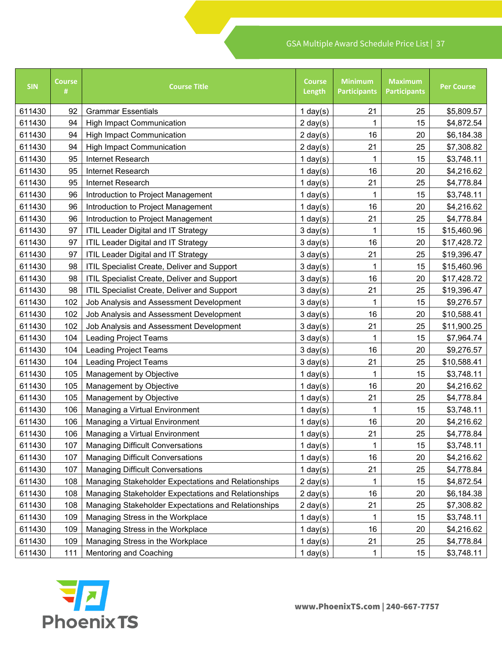| <b>SIN</b> | <b>Course</b><br># | <b>Course Title</b>                                 | <b>Course</b><br>Length | <b>Minimum</b><br><b>Participants</b> | <b>Maximum</b><br><b>Participants</b> | <b>Per Course</b> |
|------------|--------------------|-----------------------------------------------------|-------------------------|---------------------------------------|---------------------------------------|-------------------|
| 611430     | 92                 | <b>Grammar Essentials</b>                           | 1 day $(s)$             | 21                                    | 25                                    | \$5,809.57        |
| 611430     | 94                 | <b>High Impact Communication</b>                    | $2 \text{ day}(s)$      | 1                                     | 15                                    | \$4,872.54        |
| 611430     | 94                 | <b>High Impact Communication</b>                    | $2 \text{ day}(s)$      | 16                                    | 20                                    | \$6,184.38        |
| 611430     | 94                 | <b>High Impact Communication</b>                    | $2 \text{ day}(s)$      | 21                                    | 25                                    | \$7,308.82        |
| 611430     | 95                 | Internet Research                                   | 1 day $(s)$             | 1                                     | 15                                    | \$3,748.11        |
| 611430     | 95                 | Internet Research                                   | 1 day $(s)$             | 16                                    | 20                                    | \$4,216.62        |
| 611430     | 95                 | Internet Research                                   | 1 day $(s)$             | 21                                    | 25                                    | \$4,778.84        |
| 611430     | 96                 | Introduction to Project Management                  | 1 day $(s)$             | 1                                     | 15                                    | \$3,748.11        |
| 611430     | 96                 | Introduction to Project Management                  | 1 day $(s)$             | 16                                    | 20                                    | \$4,216.62        |
| 611430     | 96                 | Introduction to Project Management                  | 1 day $(s)$             | 21                                    | 25                                    | \$4,778.84        |
| 611430     | 97                 | <b>ITIL Leader Digital and IT Strategy</b>          | $3 \text{ day}(s)$      | 1                                     | 15                                    | \$15,460.96       |
| 611430     | 97                 | <b>ITIL Leader Digital and IT Strategy</b>          | $3 \text{ day}(s)$      | 16                                    | 20                                    | \$17,428.72       |
| 611430     | 97                 | <b>ITIL Leader Digital and IT Strategy</b>          | $3 \text{ day}(s)$      | 21                                    | 25                                    | \$19,396.47       |
| 611430     | 98                 | ITIL Specialist Create, Deliver and Support         | $3 \text{ day}(s)$      | 1                                     | 15                                    | \$15,460.96       |
| 611430     | 98                 | ITIL Specialist Create, Deliver and Support         | $3 \text{ day}(s)$      | 16                                    | 20                                    | \$17,428.72       |
| 611430     | 98                 | ITIL Specialist Create, Deliver and Support         | $3 \text{ day}(s)$      | 21                                    | 25                                    | \$19,396.47       |
| 611430     | 102                | Job Analysis and Assessment Development             | $3 \text{ day}(s)$      | 1                                     | 15                                    | \$9,276.57        |
| 611430     | 102                | Job Analysis and Assessment Development             | $3 \text{ day}(s)$      | 16                                    | 20                                    | \$10,588.41       |
| 611430     | 102                | Job Analysis and Assessment Development             | $3 \text{ day}(s)$      | 21                                    | 25                                    | \$11,900.25       |
| 611430     | 104                | <b>Leading Project Teams</b>                        | $3 \text{ day}(s)$      | 1                                     | 15                                    | \$7,964.74        |
| 611430     | 104                | <b>Leading Project Teams</b>                        | $3 \text{ day}(s)$      | 16                                    | 20                                    | \$9,276.57        |
| 611430     | 104                | <b>Leading Project Teams</b>                        | $3 \text{ day}(s)$      | 21                                    | 25                                    | \$10,588.41       |
| 611430     | 105                | Management by Objective                             | $1$ day $(s)$           | 1                                     | 15                                    | \$3,748.11        |
| 611430     | 105                | Management by Objective                             | 1 day $(s)$             | 16                                    | 20                                    | \$4,216.62        |
| 611430     | 105                | Management by Objective                             | 1 day $(s)$             | 21                                    | 25                                    | \$4,778.84        |
| 611430     | 106                | Managing a Virtual Environment                      | 1 day $(s)$             |                                       | 15                                    | \$3,748.11        |
| 611430     | 106                | Managing a Virtual Environment                      | 1 day $(s)$             | 16                                    | 20                                    | \$4,216.62        |
| 611430     | 106                | Managing a Virtual Environment                      | 1 day $(s)$             | 21                                    | 25                                    | \$4,778.84        |
| 611430     | 107                | <b>Managing Difficult Conversations</b>             | 1 day $(s)$             | 1                                     | 15                                    | \$3,748.11        |
| 611430     | 107                | <b>Managing Difficult Conversations</b>             | 1 day $(s)$             | 16                                    | 20                                    | \$4,216.62        |
| 611430     | 107                | <b>Managing Difficult Conversations</b>             | 1 day $(s)$             | 21                                    | 25                                    | \$4,778.84        |
| 611430     | 108                | Managing Stakeholder Expectations and Relationships | $2 \text{ day}(s)$      |                                       | 15                                    | \$4,872.54        |
| 611430     | 108                | Managing Stakeholder Expectations and Relationships | $2 \text{ day}(s)$      | 16                                    | 20                                    | \$6,184.38        |
| 611430     | 108                | Managing Stakeholder Expectations and Relationships | $2 \text{ day}(s)$      | 21                                    | 25                                    | \$7,308.82        |
| 611430     | 109                | Managing Stress in the Workplace                    | 1 day $(s)$             | 1                                     | 15                                    | \$3,748.11        |
| 611430     | 109                | Managing Stress in the Workplace                    | 1 day $(s)$             | 16                                    | 20                                    | \$4,216.62        |
| 611430     | 109                | Managing Stress in the Workplace                    | 1 day $(s)$             | 21                                    | 25                                    | \$4,778.84        |
| 611430     | 111                | Mentoring and Coaching                              | $1$ day(s)              | 1                                     | 15                                    | \$3,748.11        |

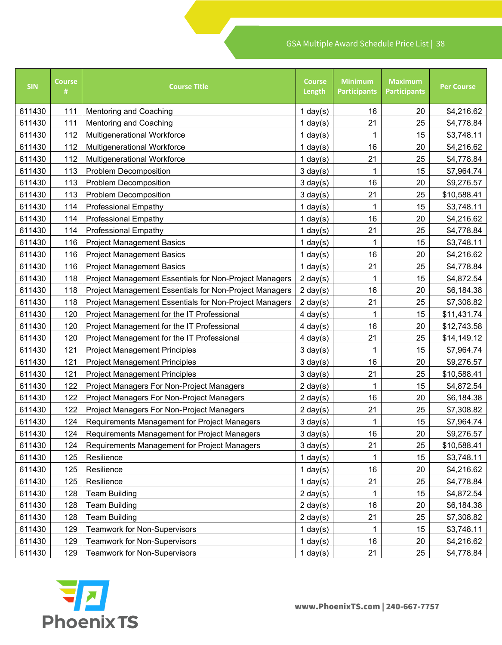| <b>SIN</b> | <b>Course</b><br># | <b>Course Title</b>                                    | <b>Course</b><br>Length | <b>Minimum</b><br><b>Participants</b> | <b>Maximum</b><br><b>Participants</b> | <b>Per Course</b> |
|------------|--------------------|--------------------------------------------------------|-------------------------|---------------------------------------|---------------------------------------|-------------------|
| 611430     | 111                | <b>Mentoring and Coaching</b>                          | 1 day $(s)$             | 16                                    | 20                                    | \$4,216.62        |
| 611430     | 111                | <b>Mentoring and Coaching</b>                          | 1 day $(s)$             | 21                                    | 25                                    | \$4,778.84        |
| 611430     | 112                | <b>Multigenerational Workforce</b>                     | 1 day $(s)$             |                                       | 15                                    | \$3,748.11        |
| 611430     | 112                | <b>Multigenerational Workforce</b>                     | 1 day $(s)$             | 16                                    | 20                                    | \$4,216.62        |
| 611430     | 112                | <b>Multigenerational Workforce</b>                     | $1$ day(s)              | 21                                    | 25                                    | \$4,778.84        |
| 611430     | 113                | <b>Problem Decomposition</b>                           | $3 \text{ day}(s)$      |                                       | 15                                    | \$7,964.74        |
| 611430     | 113                | <b>Problem Decomposition</b>                           | $3 \text{ day}(s)$      | 16                                    | 20                                    | \$9,276.57        |
| 611430     | 113                | <b>Problem Decomposition</b>                           | $3 \text{ day}(s)$      | 21                                    | 25                                    | \$10,588.41       |
| 611430     | 114                | <b>Professional Empathy</b>                            | 1 day $(s)$             |                                       | 15                                    | \$3,748.11        |
| 611430     | 114                | <b>Professional Empathy</b>                            | 1 day $(s)$             | 16                                    | 20                                    | \$4,216.62        |
| 611430     | 114                | <b>Professional Empathy</b>                            | $1$ day(s)              | 21                                    | 25                                    | \$4,778.84        |
| 611430     | 116                | <b>Project Management Basics</b>                       | $1$ day(s)              |                                       | 15                                    | \$3,748.11        |
| 611430     | 116                | <b>Project Management Basics</b>                       | 1 day $(s)$             | 16                                    | 20                                    | \$4,216.62        |
| 611430     | 116                | <b>Project Management Basics</b>                       | $1$ day $(s)$           | 21                                    | 25                                    | \$4,778.84        |
| 611430     | 118                | Project Management Essentials for Non-Project Managers | $2 \text{ day}(s)$      |                                       | 15                                    | \$4,872.54        |
| 611430     | 118                | Project Management Essentials for Non-Project Managers | $2 \text{ day}(s)$      | 16                                    | 20                                    | \$6,184.38        |
| 611430     | 118                | Project Management Essentials for Non-Project Managers | $2 \text{ day}(s)$      | 21                                    | 25                                    | \$7,308.82        |
| 611430     | 120                | Project Management for the IT Professional             | $4$ day(s)              |                                       | 15                                    | \$11,431.74       |
| 611430     | 120                | Project Management for the IT Professional             | $4$ day $(s)$           | 16                                    | 20                                    | \$12,743.58       |
| 611430     | 120                | Project Management for the IT Professional             | $4$ day(s)              | 21                                    | 25                                    | \$14,149.12       |
| 611430     | 121                | <b>Project Management Principles</b>                   | $3 \text{ day}(s)$      |                                       | 15                                    | \$7,964.74        |
| 611430     | 121                | <b>Project Management Principles</b>                   | $3 \text{ day}(s)$      | 16                                    | 20                                    | \$9,276.57        |
| 611430     | 121                | <b>Project Management Principles</b>                   | $3 \text{ day}(s)$      | 21                                    | 25                                    | \$10,588.41       |
| 611430     | 122                | Project Managers For Non-Project Managers              | $2 \text{ day}(s)$      |                                       | 15                                    | \$4,872.54        |
| 611430     | 122                | Project Managers For Non-Project Managers              | $2 \text{ day}(s)$      | 16                                    | 20                                    | \$6,184.38        |
| 611430     | 122                | Project Managers For Non-Project Managers              | $2 \text{ day}(s)$      | 21                                    | 25                                    | \$7,308.82        |
| 611430     | 124                | Requirements Management for Project Managers           | $3 \text{ day}(s)$      | 1                                     | 15                                    | \$7,964.74        |
| 611430     | 124                | Requirements Management for Project Managers           | $3 \text{ day}(s)$      | 16                                    | 20                                    | \$9,276.57        |
| 611430     | 124                | Requirements Management for Project Managers           | $3 \text{ day}(s)$      | 21                                    | 25                                    | \$10,588.41       |
| 611430     | 125                | Resilience                                             | 1 day $(s)$             | 1                                     | 15                                    | \$3,748.11        |
| 611430     | 125                | Resilience                                             | 1 day $(s)$             | 16                                    | 20                                    | \$4,216.62        |
| 611430     | 125                | Resilience                                             | $1$ day $(s)$           | 21                                    | 25                                    | \$4,778.84        |
| 611430     | 128                | <b>Team Building</b>                                   | $2 \text{ day}(s)$      | 1                                     | 15                                    | \$4,872.54        |
| 611430     | 128                | <b>Team Building</b>                                   | $2 \text{ day}(s)$      | 16                                    | 20                                    | \$6,184.38        |
| 611430     | 128                | <b>Team Building</b>                                   | $2 \text{ day}(s)$      | 21                                    | 25                                    | \$7,308.82        |
| 611430     | 129                | <b>Teamwork for Non-Supervisors</b>                    | $1$ day $(s)$           |                                       | 15                                    | \$3,748.11        |
| 611430     | 129                | <b>Teamwork for Non-Supervisors</b>                    | 1 day $(s)$             | 16                                    | 20                                    | \$4,216.62        |
| 611430     | 129                | <b>Teamwork for Non-Supervisors</b>                    | $1$ day $(s)$           | 21                                    | 25                                    | \$4,778.84        |